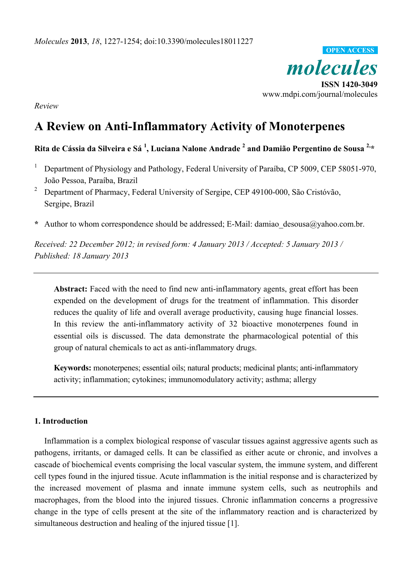*molecules*  **ISSN 1420-3049**  www.mdpi.com/journal/molecules **OPEN ACCESS**

*Review* 

# **A Review on Anti-Inflammatory Activity of Monoterpenes**

# **Rita de Cássia da Silveira e Sá <sup>1</sup> , Luciana Nalone Andrade 2 and Damião Pergentino de Sousa 2,\***

- 1 Department of Physiology and Pathology, Federal University of Paraíba, CP 5009, CEP 58051-970, João Pessoa, Paraíba, Brazil
- 2 Department of Pharmacy, Federal University of Sergipe, CEP 49100-000, São Cristóvão, Sergipe, Brazil
- **\*** Author to whom correspondence should be addressed; E-Mail: damiao\_desousa@yahoo.com.br.

*Received: 22 December 2012; in revised form: 4 January 2013 / Accepted: 5 January 2013 / Published: 18 January 2013* 

**Abstract:** Faced with the need to find new anti-inflammatory agents, great effort has been expended on the development of drugs for the treatment of inflammation. This disorder reduces the quality of life and overall average productivity, causing huge financial losses. In this review the anti-inflammatory activity of 32 bioactive monoterpenes found in essential oils is discussed. The data demonstrate the pharmacological potential of this group of natural chemicals to act as anti-inflammatory drugs.

**Keywords:** monoterpenes; essential oils; natural products; medicinal plants; anti-inflammatory activity; inflammation; cytokines; immunomodulatory activity; asthma; allergy

## **1. Introduction**

Inflammation is a complex biological response of vascular tissues against aggressive agents such as pathogens, irritants, or damaged cells. It can be classified as either acute or chronic, and involves a cascade of biochemical events comprising the local vascular system, the immune system, and different cell types found in the injured tissue. Acute inflammation is the initial response and is characterized by the increased movement of plasma and innate immune system cells, such as neutrophils and macrophages, from the blood into the injured tissues. Chronic inflammation concerns a progressive change in the type of cells present at the site of the inflammatory reaction and is characterized by simultaneous destruction and healing of the injured tissue [1].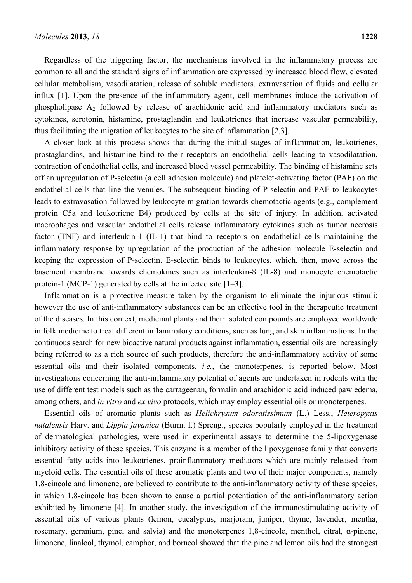Regardless of the triggering factor, the mechanisms involved in the inflammatory process are common to all and the standard signs of inflammation are expressed by increased blood flow, elevated cellular metabolism, vasodilatation, release of soluble mediators, extravasation of fluids and cellular influx [1]. Upon the presence of the inflammatory agent, cell membranes induce the activation of phospholipase A2 followed by release of arachidonic acid and inflammatory mediators such as cytokines, serotonin, histamine, prostaglandin and leukotrienes that increase vascular permeability, thus facilitating the migration of leukocytes to the site of inflammation [2,3].

A closer look at this process shows that during the initial stages of inflammation, leukotrienes, prostaglandins, and histamine bind to their receptors on endothelial cells leading to vasodilatation, contraction of endothelial cells, and increased blood vessel permeability. The binding of histamine sets off an upregulation of P-selectin (a cell adhesion molecule) and platelet-activating factor (PAF) on the endothelial cells that line the venules. The subsequent binding of P-selectin and PAF to leukocytes leads to extravasation followed by leukocyte migration towards chemotactic agents (e.g., complement protein C5a and leukotriene B4) produced by cells at the site of injury. In addition, activated macrophages and vascular endothelial cells release inflammatory cytokines such as tumor necrosis factor (TNF) and interleukin-1 (IL-1) that bind to receptors on endothelial cells maintaining the inflammatory response by upregulation of the production of the adhesion molecule E-selectin and keeping the expression of P-selectin. E-selectin binds to leukocytes, which, then, move across the basement membrane towards chemokines such as interleukin-8 (IL-8) and monocyte chemotactic protein-1 (MCP-1) generated by cells at the infected site [1–3].

Inflammation is a protective measure taken by the organism to eliminate the injurious stimuli; however the use of anti-inflammatory substances can be an effective tool in the therapeutic treatment of the diseases. In this context, medicinal plants and their isolated compounds are employed worldwide in folk medicine to treat different inflammatory conditions, such as lung and skin inflammations. In the continuous search for new bioactive natural products against inflammation, essential oils are increasingly being referred to as a rich source of such products, therefore the anti-inflammatory activity of some essential oils and their isolated components, *i.e.*, the monoterpenes, is reported below. Most investigations concerning the anti-inflammatory potential of agents are undertaken in rodents with the use of different test models such as the carrageenan, formalin and arachidonic acid induced paw edema, among others, and *in vitro* and *ex vivo* protocols, which may employ essential oils or monoterpenes.

Essential oils of aromatic plants such as *Helichrysum odoratissimum* (L.) Less., *Heteropyxis natalensis* Harv. and *Lippia javanica* (Burm. f.) Spreng., species popularly employed in the treatment of dermatological pathologies, were used in experimental assays to determine the 5-lipoxygenase inhibitory activity of these species. This enzyme is a member of the lipoxygenase family that converts essential fatty acids into leukotrienes, proinflammatory mediators which are mainly released from myeloid cells. The essential oils of these aromatic plants and two of their major components, namely 1,8-cineole and limonene, are believed to contribute to the anti-inflammatory activity of these species, in which 1,8-cineole has been shown to cause a partial potentiation of the anti-inflammatory action exhibited by limonene [4]. In another study, the investigation of the immunostimulating activity of essential oils of various plants (lemon, eucalyptus, marjoram, juniper, thyme, lavender, mentha, rosemary, geranium, pine, and salvia) and the monoterpenes 1,8-cineole, menthol, citral, α-pinene, limonene, linalool, thymol, camphor, and borneol showed that the pine and lemon oils had the strongest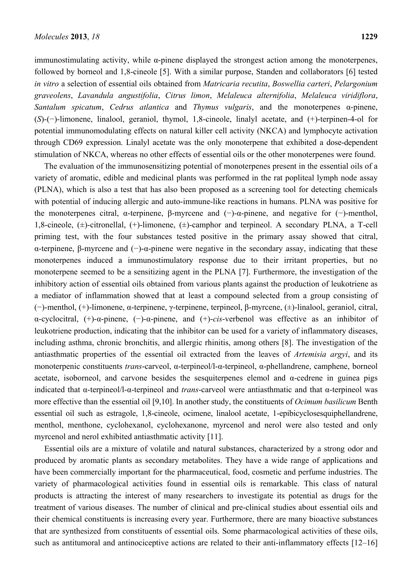immunostimulating activity, while α-pinene displayed the strongest action among the monoterpenes, followed by borneol and 1,8-cineole [5]. With a similar purpose, Standen and collaborators [6] tested *in vitro* a selection of essential oils obtained from *Matricaria recutita*, *Boswellia carteri*, *Pelargonium graveolens*, *Lavandula angustifolia*, *Citrus limon*, *Melaleuca alternifolia*, *Melaleuca viridiflora*, *Santalum spicatum*, *Cedrus atlantica* and *Thymus vulgaris*, and the monoterpenes α-pinene, (*S*)-(−)-limonene, linalool, geraniol, thymol, 1,8-cineole, linalyl acetate, and (+)-terpinen-4-ol for potential immunomodulating effects on natural killer cell activity (NKCA) and lymphocyte activation through CD69 expression. Linalyl acetate was the only monoterpene that exhibited a dose-dependent stimulation of NKCA, whereas no other effects of essential oils or the other monoterpenes were found.

The evaluation of the immunosensitizing potential of monoterpenes present in the essential oils of a variety of aromatic, edible and medicinal plants was performed in the rat popliteal lymph node assay (PLNA), which is also a test that has also been proposed as a screening tool for detecting chemicals with potential of inducing allergic and auto-immune-like reactions in humans. PLNA was positive for the monoterpenes citral,  $\alpha$ -terpinene,  $\beta$ -myrcene and (−)- $\alpha$ -pinene, and negative for (−)-menthol, 1,8-cineole, (±)-citronellal, (+)-limonene, (±)-camphor and terpineol. A secondary PLNA, a T-cell priming test, with the four substances tested positive in the primary assay showed that citral,  $\alpha$ -terpinene, β-myrcene and  $(-)$ - $\alpha$ -pinene were negative in the secondary assay, indicating that these monoterpenes induced a immunostimulatory response due to their irritant properties, but no monoterpene seemed to be a sensitizing agent in the PLNA [7]. Furthermore, the investigation of the inhibitory action of essential oils obtained from various plants against the production of leukotriene as a mediator of inflammation showed that at least a compound selected from a group consisting of (−)-menthol, (+)-limonene, α-terpinene, γ-terpinene, terpineol, β-myrcene, (±)-linalool, geraniol, citral, α-cyclocitral, (+)-α-pinene, (−)-α-pinene, and (+)-*cis*-verbenol was effective as an inhibitor of leukotriene production, indicating that the inhibitor can be used for a variety of inflammatory diseases, including asthma, chronic bronchitis, and allergic rhinitis, among others [8]. The investigation of the antiasthmatic properties of the essential oil extracted from the leaves of *Artemisia argyi*, and its monoterpenic constituents *trans*-carveol, α-terpineol/l-α-terpineol, α-phellandrene, camphene, borneol acetate, isoborneol, and carvone besides the sesquiterpenes elemol and α-cedrene in guinea pigs indicated that α-terpineol/l-α-terpineol and *trans*-carveol were antiasthmatic and that α-terpineol was more effective than the essential oil [9,10]. In another study, the constituents of *Ocimum basilicum* Benth essential oil such as estragole, 1,8-cineole, ocimene, linalool acetate, 1-epibicyclosesquiphellandrene, menthol, menthone, cyclohexanol, cyclohexanone, myrcenol and nerol were also tested and only myrcenol and nerol exhibited antiasthmatic activity [11].

Essential oils are a mixture of volatile and natural substances, characterized by a strong odor and produced by aromatic plants as secondary metabolites. They have a wide range of applications and have been commercially important for the pharmaceutical, food, cosmetic and perfume industries. The variety of pharmacological activities found in essential oils is remarkable. This class of natural products is attracting the interest of many researchers to investigate its potential as drugs for the treatment of various diseases. The number of clinical and pre-clinical studies about essential oils and their chemical constituents is increasing every year. Furthermore, there are many bioactive substances that are synthesized from constituents of essential oils. Some pharmacological activities of these oils, such as antitumoral and antinociceptive actions are related to their anti-inflammatory effects [12–16]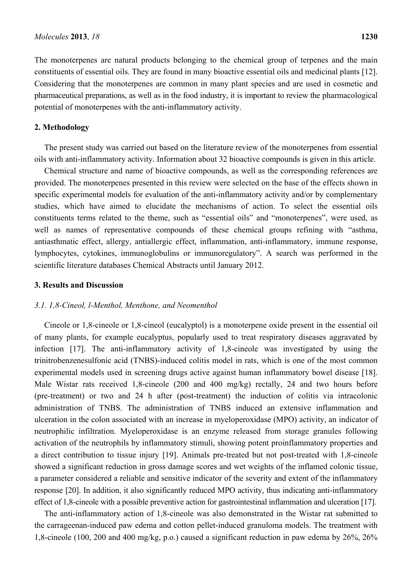The monoterpenes are natural products belonging to the chemical group of terpenes and the main constituents of essential oils. They are found in many bioactive essential oils and medicinal plants [12]. Considering that the monoterpenes are common in many plant species and are used in cosmetic and pharmaceutical preparations, as well as in the food industry, it is important to review the pharmacological potential of monoterpenes with the anti-inflammatory activity.

#### **2. Methodology**

The present study was carried out based on the literature review of the monoterpenes from essential oils with anti-inflammatory activity. Information about 32 bioactive compounds is given in this article.

Chemical structure and name of bioactive compounds, as well as the corresponding references are provided. The monoterpenes presented in this review were selected on the base of the effects shown in specific experimental models for evaluation of the anti-inflammatory activity and/or by complementary studies, which have aimed to elucidate the mechanisms of action. To select the essential oils constituents terms related to the theme, such as "essential oils" and "monoterpenes", were used, as well as names of representative compounds of these chemical groups refining with "asthma, antiasthmatic effect, allergy, antiallergic effect, inflammation, anti-inflammatory, immune response, lymphocytes, cytokines, immunoglobulins or immunoregulatory". A search was performed in the scientific literature databases Chemical Abstracts until January 2012.

### **3. Results and Discussion**

### *3.1. 1,8-Cineol, l-Menthol, Menthone, and Neomenthol*

Cineole or 1,8-cineole or 1,8-cineol (eucalyptol) is a monoterpene oxide present in the essential oil of many plants, for example eucalyptus, popularly used to treat respiratory diseases aggravated by infection [17]. The anti-inflammatory activity of 1,8-cineole was investigated by using the trinitrobenzenesulfonic acid (TNBS)-induced colitis model in rats, which is one of the most common experimental models used in screening drugs active against human inflammatory bowel disease [18]. Male Wistar rats received 1,8-cineole (200 and 400 mg/kg) rectally, 24 and two hours before (pre-treatment) or two and 24 h after (post-treatment) the induction of colitis via intracolonic administration of TNBS. The administration of TNBS induced an extensive inflammation and ulceration in the colon associated with an increase in myeloperoxidase (MPO) activity, an indicator of neutrophilic infiltration. Myeloperoxidase is an enzyme released from storage granules following activation of the neutrophils by inflammatory stimuli, showing potent proinflammatory properties and a direct contribution to tissue injury [19]. Animals pre-treated but not post-treated with 1,8-cineole showed a significant reduction in gross damage scores and wet weights of the inflamed colonic tissue, a parameter considered a reliable and sensitive indicator of the severity and extent of the inflammatory response [20]. In addition, it also significantly reduced MPO activity, thus indicating anti-inflammatory effect of 1,8-cineole with a possible preventive action for gastrointestinal inflammation and ulceration [17].

The anti-inflammatory action of 1,8-cineole was also demonstrated in the Wistar rat submitted to the carrageenan-induced paw edema and cotton pellet-induced granuloma models. The treatment with 1,8-cineole (100, 200 and 400 mg/kg, p.o.) caused a significant reduction in paw edema by 26%, 26%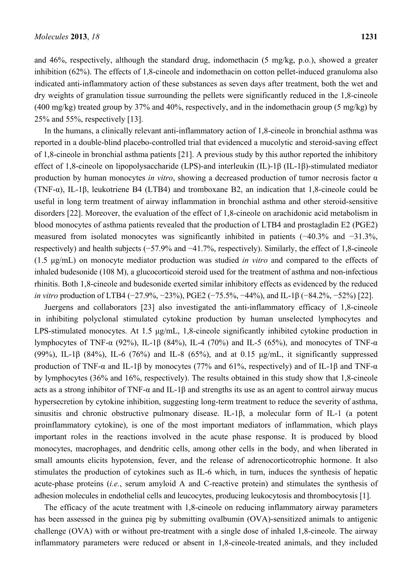and 46%, respectively, although the standard drug, indomethacin (5 mg/kg, p.o.), showed a greater inhibition (62%). The effects of 1,8-cineole and indomethacin on cotton pellet-induced granuloma also indicated anti-inflammatory action of these substances as seven days after treatment, both the wet and dry weights of granulation tissue surrounding the pellets were significantly reduced in the 1,8-cineole (400 mg/kg) treated group by 37% and 40%, respectively, and in the indomethacin group (5 mg/kg) by 25% and 55%, respectively [13].

In the humans, a clinically relevant anti-inflammatory action of 1,8-cineole in bronchial asthma was reported in a double-blind placebo-controlled trial that evidenced a mucolytic and steroid-saving effect of 1,8-cineole in bronchial asthma patients [21]. A previous study by this author reported the inhibitory effect of 1,8-cineole on lipopolysaccharide (LPS)-and interleukin (IL)-1β (IL-1β)-stimulated mediator production by human monocytes *in vitro*, showing a decreased production of tumor necrosis factor α (TNF-α), IL-1β, leukotriene B4 (LTB4) and tromboxane B2, an indication that 1,8-cineole could be useful in long term treatment of airway inflammation in bronchial asthma and other steroid-sensitive disorders [22]. Moreover, the evaluation of the effect of 1,8-cineole on arachidonic acid metabolism in blood monocytes of asthma patients revealed that the production of LTB4 and prostagladin E2 (PGE2) measured from isolated monocytes was significantly inhibited in patients (−40.3% and −31.3%, respectively) and health subjects (−57.9% and −41.7%, respectively). Similarly, the effect of 1,8-cineole (1.5 μg/mL) on monocyte mediator production was studied *in vitro* and compared to the effects of inhaled budesonide (108 M), a glucocorticoid steroid used for the treatment of asthma and non-infectious rhinitis. Both 1,8-cineole and budesonide exerted similar inhibitory effects as evidenced by the reduced *in vitro* production of LTB4 (−27.9%, −23%), PGE2 (−75.5%, −44%), and IL-1β (−84.2%, −52%) [22].

Juergens and collaborators [23] also investigated the anti-inflammatory efficacy of 1,8-cineole in inhibiting polyclonal stimulated cytokine production by human unselected lymphocytes and LPS-stimulated monocytes. At 1.5 μg/mL, 1,8-cineole significantly inhibited cytokine production in lymphocytes of TNF-α (92%), IL-1β (84%), IL-4 (70%) and IL-5 (65%), and monocytes of TNF-α (99%), IL-1β (84%), IL-6 (76%) and IL-8 (65%), and at 0.15  $\mu$ g/mL, it significantly suppressed production of TNF-α and IL-1β by monocytes (77% and 61%, respectively) and of IL-1β and TNF-α by lymphocytes (36% and 16%, respectively). The results obtained in this study show that 1,8-cineole acts as a strong inhibitor of TNF- $\alpha$  and IL-1 $\beta$  and strengths its use as an agent to control airway mucus hypersecretion by cytokine inhibition, suggesting long-term treatment to reduce the severity of asthma, sinusitis and chronic obstructive pulmonary disease. IL-1β, a molecular form of IL-1 (a potent proinflammatory cytokine), is one of the most important mediators of inflammation, which plays important roles in the reactions involved in the acute phase response. It is produced by blood monocytes, macrophages, and dendritic cells, among other cells in the body, and when liberated in small amounts elicits hypotension, fever, and the release of adrenocorticotrophic hormone. It also stimulates the production of cytokines such as IL-6 which, in turn, induces the synthesis of hepatic acute-phase proteins (*i.e.*, serum amyloid A and C-reactive protein) and stimulates the synthesis of adhesion molecules in endothelial cells and leucocytes, producing leukocytosis and thrombocytosis [1].

The efficacy of the acute treatment with 1,8-cineole on reducing inflammatory airway parameters has been assessed in the guinea pig by submitting ovalbumin (OVA)-sensitized animals to antigenic challenge (OVA) with or without pre-treatment with a single dose of inhaled 1,8-cineole. The airway inflammatory parameters were reduced or absent in 1,8-cineole-treated animals, and they included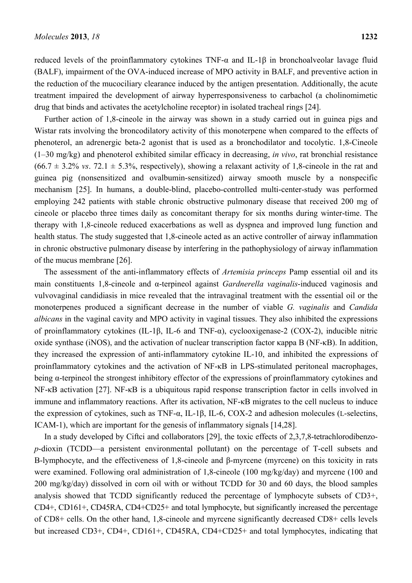reduced levels of the proinflammatory cytokines TNF-α and IL-1β in bronchoalveolar lavage fluid (BALF), impairment of the OVA-induced increase of MPO activity in BALF, and preventive action in the reduction of the mucociliary clearance induced by the antigen presentation. Additionally, the acute treatment impaired the development of airway hyperresponsiveness to carbachol (a cholinomimetic drug that binds and activates the acetylcholine receptor) in isolated tracheal rings [24].

Further action of 1,8-cineole in the airway was shown in a study carried out in guinea pigs and Wistar rats involving the broncodilatory activity of this monoterpene when compared to the effects of phenoterol, an adrenergic beta-2 agonist that is used as a bronchodilator and tocolytic. 1,8-Cineole (1–30 mg/kg) and phenoterol exhibited similar efficacy in decreasing, *in vivo*, rat bronchial resistance  $(66.7 \pm 3.2\% \text{ vs. } 72.1 \pm 5.3\%$ , respectively), showing a relaxant activity of 1,8-cineole in the rat and guinea pig (nonsensitized and ovalbumin-sensitized) airway smooth muscle by a nonspecific mechanism [25]. In humans, a double-blind, placebo-controlled multi-center-study was performed employing 242 patients with stable chronic obstructive pulmonary disease that received 200 mg of cineole or placebo three times daily as concomitant therapy for six months during winter-time. The therapy with 1,8-cineole reduced exacerbations as well as dyspnea and improved lung function and health status. The study suggested that 1,8-cineole acted as an active controller of airway inflammation in chronic obstructive pulmonary disease by interfering in the pathophysiology of airway inflammation of the mucus membrane [26].

The assessment of the anti-inflammatory effects of *Artemisia princeps* Pamp essential oil and its main constituents 1,8-cineole and α-terpineol against *Gardnerella vaginalis*-induced vaginosis and vulvovaginal candidiasis in mice revealed that the intravaginal treatment with the essential oil or the monoterpenes produced a significant decrease in the number of viable *G. vaginalis* and *Candida albicans* in the vaginal cavity and MPO activity in vaginal tissues. They also inhibited the expressions of proinflammatory cytokines (IL-1β, IL-6 and TNF-α), cyclooxigenase-2 (COX-2), inducible nitric oxide synthase (iNOS), and the activation of nuclear transcription factor κappa B (NF-κB). In addition, they increased the expression of anti-inflammatory cytokine IL-10, and inhibited the expressions of proinflammatory cytokines and the activation of NF-κB in LPS-stimulated peritoneal macrophages, being α-terpineol the strongest inhibitory effector of the expressions of proinflammatory cytokines and NF-κB activation [27]. NF-κB is a ubiquitous rapid response transcription factor in cells involved in immune and inflammatory reactions. After its activation, NF-κB migrates to the cell nucleus to induce the expression of cytokines, such as TNF-α, IL-1β, IL-6, COX-2 and adhesion molecules (L-selectins, ICAM-1), which are important for the genesis of inflammatory signals [14,28].

In a study developed by Ciftci and collaborators [29], the toxic effects of 2,3,7,8-tetrachlorodibenzo*p*-dioxin (TCDD—a persistent environmental pollutant) on the percentage of T-cell subsets and B-lymphocyte, and the effectiveness of 1,8-cineole and β-myrcene (myrcene) on this toxicity in rats were examined. Following oral administration of 1,8-cineole (100 mg/kg/day) and myrcene (100 and 200 mg/kg/day) dissolved in corn oil with or without TCDD for 30 and 60 days, the blood samples analysis showed that TCDD significantly reduced the percentage of lymphocyte subsets of CD3+, CD4+, CD161+, CD45RA, CD4+CD25+ and total lymphocyte, but significantly increased the percentage of CD8+ cells. On the other hand, 1,8-cineole and myrcene significantly decreased CD8+ cells levels but increased CD3+, CD4+, CD161+, CD45RA, CD4+CD25+ and total lymphocytes, indicating that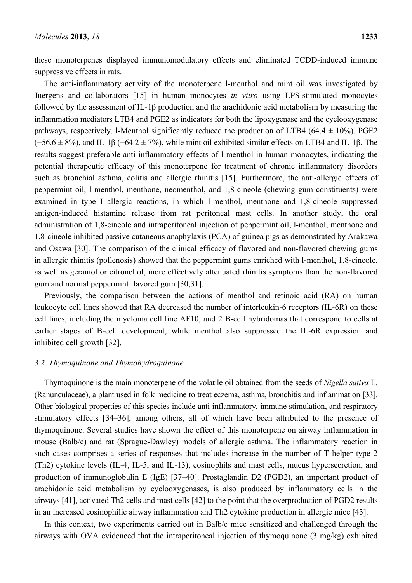these monoterpenes displayed immunomodulatory effects and eliminated TCDD-induced immune suppressive effects in rats.

The anti-inflammatory activity of the monoterpene l-menthol and mint oil was investigated by Juergens and collaborators [15] in human monocytes *in vitro* using LPS-stimulated monocytes followed by the assessment of IL-1β production and the arachidonic acid metabolism by measuring the inflammation mediators LTB4 and PGE2 as indicators for both the lipoxygenase and the cyclooxygenase pathways, respectively. 1-Menthol significantly reduced the production of LTB4 (64.4  $\pm$  10%), PGE2  $(-56.6 \pm 8\%)$ , and IL-1β (-64.2  $\pm$  7%), while mint oil exhibited similar effects on LTB4 and IL-1β. The results suggest preferable anti-inflammatory effects of l-menthol in human monocytes, indicating the potential therapeutic efficacy of this monoterpene for treatment of chronic inflammatory disorders such as bronchial asthma, colitis and allergic rhinitis [15]. Furthermore, the anti-allergic effects of peppermint oil, l-menthol, menthone, neomenthol, and 1,8-cineole (chewing gum constituents) were examined in type I allergic reactions, in which l-menthol, menthone and 1,8-cineole suppressed antigen-induced histamine release from rat peritoneal mast cells. In another study, the oral administration of 1,8-cineole and intraperitoneal injection of peppermint oil, l-menthol, menthone and 1,8-cineole inhibited passive cutaneous anaphylaxis (PCA) of guinea pigs as demonstrated by Arakawa and Osawa [30]. The comparison of the clinical efficacy of flavored and non-flavored chewing gums in allergic rhinitis (pollenosis) showed that the peppermint gums enriched with l-menthol, 1,8-cineole, as well as geraniol or citronellol, more effectively attenuated rhinitis symptoms than the non-flavored gum and normal peppermint flavored gum [30,31].

Previously, the comparison between the actions of menthol and retinoic acid (RA) on human leukocyte cell lines showed that RA decreased the number of interleukin-6 receptors (IL-6R) on these cell lines, including the myeloma cell line AF10, and 2 B-cell hybridomas that correspond to cells at earlier stages of B-cell development, while menthol also suppressed the IL-6R expression and inhibited cell growth [32].

#### *3.2. Thymoquinone and Thymohydroquinone*

Thymoquinone is the main monoterpene of the volatile oil obtained from the seeds of *Nigella sativa* L. (Ranunculaceae), a plant used in folk medicine to treat eczema, asthma, bronchitis and inflammation [33]. Other biological properties of this species include anti-inflammatory, immune stimulation, and respiratory stimulatory effects [34–36], among others, all of which have been attributed to the presence of thymoquinone. Several studies have shown the effect of this monoterpene on airway inflammation in mouse (Balb/c) and rat (Sprague-Dawley) models of allergic asthma. The inflammatory reaction in such cases comprises a series of responses that includes increase in the number of T helper type 2 (Th2) cytokine levels (IL-4, IL-5, and IL-13), eosinophils and mast cells, mucus hypersecretion, and production of immunoglobulin E (IgE) [37–40]. Prostaglandin D2 (PGD2), an important product of arachidonic acid metabolism by cyclooxygenases, is also produced by inflammatory cells in the airways [41], activated Th2 cells and mast cells [42] to the point that the overproduction of PGD2 results in an increased eosinophilic airway inflammation and Th2 cytokine production in allergic mice [43].

In this context, two experiments carried out in Balb/c mice sensitized and challenged through the airways with OVA evidenced that the intraperitoneal injection of thymoquinone (3 mg/kg) exhibited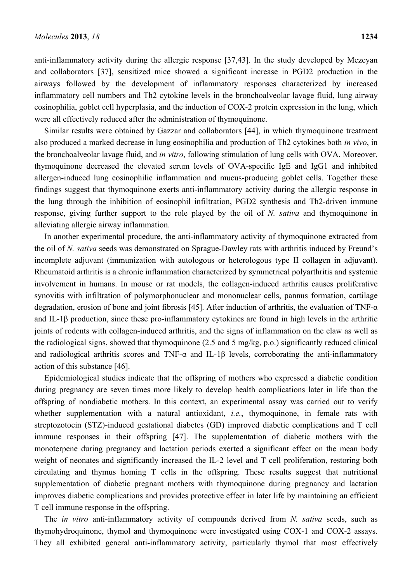anti-inflammatory activity during the allergic response [37,43]. In the study developed by Mezeyan and collaborators [37], sensitized mice showed a significant increase in PGD2 production in the airways followed by the development of inflammatory responses characterized by increased inflammatory cell numbers and Th2 cytokine levels in the bronchoalveolar lavage fluid, lung airway eosinophilia, goblet cell hyperplasia, and the induction of COX-2 protein expression in the lung, which were all effectively reduced after the administration of thymoquinone.

Similar results were obtained by Gazzar and collaborators [44], in which thymoquinone treatment also produced a marked decrease in lung eosinophilia and production of Th2 cytokines both *in vivo*, in the bronchoalveolar lavage fluid, and *in vitro*, following stimulation of lung cells with OVA. Moreover, thymoquinone decreased the elevated serum levels of OVA-specific IgE and IgG1 and inhibited allergen-induced lung eosinophilic inflammation and mucus-producing goblet cells. Together these findings suggest that thymoquinone exerts anti-inflammatory activity during the allergic response in the lung through the inhibition of eosinophil infiltration, PGD2 synthesis and Th2-driven immune response, giving further support to the role played by the oil of *N. sativa* and thymoquinone in alleviating allergic airway inflammation.

In another experimental procedure, the anti-inflammatory activity of thymoquinone extracted from the oil of *N. sativa* seeds was demonstrated on Sprague-Dawley rats with arthritis induced by Freund's incomplete adjuvant (immunization with autologous or heterologous type II collagen in adjuvant). Rheumatoid arthritis is a chronic inflammation characterized by symmetrical polyarthritis and systemic involvement in humans. In mouse or rat models, the collagen-induced arthritis causes proliferative synovitis with infiltration of polymorphonuclear and mononuclear cells, pannus formation, cartilage degradation, erosion of bone and joint fibrosis [45]. After induction of arthritis, the evaluation of TNF-α and IL-1β production, since these pro-inflammatory cytokines are found in high levels in the arthritic joints of rodents with collagen-induced arthritis, and the signs of inflammation on the claw as well as the radiological signs, showed that thymoquinone (2.5 and 5 mg/kg, p.o.) significantly reduced clinical and radiological arthritis scores and TNF- $\alpha$  and IL-1 $\beta$  levels, corroborating the anti-inflammatory action of this substance [46].

Epidemiological studies indicate that the offspring of mothers who expressed a diabetic condition during pregnancy are seven times more likely to develop health complications later in life than the offspring of nondiabetic mothers. In this context, an experimental assay was carried out to verify whether supplementation with a natural antioxidant, *i.e.*, thymoquinone, in female rats with streptozotocin (STZ)-induced gestational diabetes (GD) improved diabetic complications and T cell immune responses in their offspring [47]. The supplementation of diabetic mothers with the monoterpene during pregnancy and lactation periods exerted a significant effect on the mean body weight of neonates and significantly increased the IL-2 level and T cell proliferation, restoring both circulating and thymus homing T cells in the offspring. These results suggest that nutritional supplementation of diabetic pregnant mothers with thymoquinone during pregnancy and lactation improves diabetic complications and provides protective effect in later life by maintaining an efficient T cell immune response in the offspring.

The *in vitro* anti-inflammatory activity of compounds derived from *N. sativa* seeds, such as thymohydroquinone, thymol and thymoquinone were investigated using COX-1 and COX-2 assays. They all exhibited general anti-inflammatory activity, particularly thymol that most effectively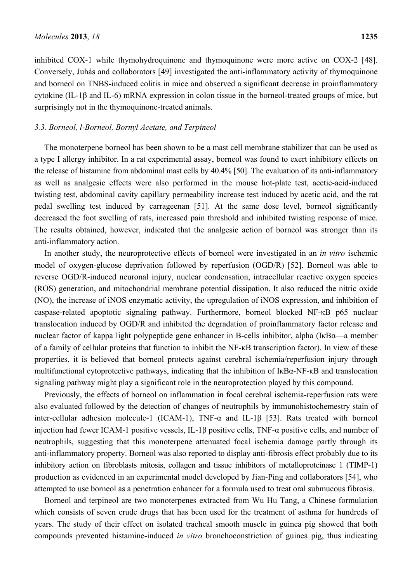inhibited COX-1 while thymohydroquinone and thymoquinone were more active on COX-2 [48]. Conversely, Juhás and collaborators [49] investigated the anti-inflammatory activity of thymoquinone and borneol on TNBS-induced colitis in mice and observed a significant decrease in proinflammatory cytokine (IL-1β and IL-6) mRNA expression in colon tissue in the borneol-treated groups of mice, but surprisingly not in the thymoquinone-treated animals.

#### *3.3. Borneol, l-Borneol, Bornyl Acetate, and Terpineol*

The monoterpene borneol has been shown to be a mast cell membrane stabilizer that can be used as a type I allergy inhibitor. In a rat experimental assay, borneol was found to exert inhibitory effects on the release of histamine from abdominal mast cells by 40.4% [50]. The evaluation of its anti-inflammatory as well as analgesic effects were also performed in the mouse hot-plate test, acetic-acid-induced twisting test, abdominal cavity capillary permeability increase test induced by acetic acid, and the rat pedal swelling test induced by carrageenan [51]. At the same dose level, borneol significantly decreased the foot swelling of rats, increased pain threshold and inhibited twisting response of mice. The results obtained, however, indicated that the analgesic action of borneol was stronger than its anti-inflammatory action.

In another study, the neuroprotective effects of borneol were investigated in an *in vitro* ischemic model of oxygen-glucose deprivation followed by reperfusion (OGD/R) [52]. Borneol was able to reverse OGD/R-induced neuronal injury, nuclear condensation, intracellular reactive oxygen species (ROS) generation, and mitochondrial membrane potential dissipation. It also reduced the nitric oxide (NO), the increase of iNOS enzymatic activity, the upregulation of iNOS expression, and inhibition of caspase-related apoptotic signaling pathway. Furthermore, borneol blocked NF-κB p65 nuclear translocation induced by OGD/R and inhibited the degradation of proinflammatory factor release and nuclear factor of kappa light polypeptide gene enhancer in B-cells inhibitor, alpha (IκBα—a member of a family of cellular proteins that function to inhibit the NF-κB transcription factor). In view of these properties, it is believed that borneol protects against cerebral ischemia/reperfusion injury through multifunctional cytoprotective pathways, indicating that the inhibition of IκBα-NF-κB and translocation signaling pathway might play a significant role in the neuroprotection played by this compound.

Previously, the effects of borneol on inflammation in focal cerebral ischemia-reperfusion rats were also evaluated followed by the detection of changes of neutrophils by immunohistochemestry stain of inter-cellular adhesion molecule-1 (ICAM-1), TNF- $\alpha$  and IL-1 $\beta$  [53]. Rats treated with borneol injection had fewer ICAM-1 positive vessels, IL-1β positive cells, TNF-α positive cells, and number of neutrophils, suggesting that this monoterpene attenuated focal ischemia damage partly through its anti-inflammatory property. Borneol was also reported to display anti-fibrosis effect probably due to its inhibitory action on fibroblasts mitosis, collagen and tissue inhibitors of metalloproteinase 1 (TIMP-1) production as evidenced in an experimental model developed by Jian-Ping and collaborators [54], who attempted to use borneol as a penetration enhancer for a formula used to treat oral submucous fibrosis.

Borneol and terpineol are two monoterpenes extracted from Wu Hu Tang, a Chinese formulation which consists of seven crude drugs that has been used for the treatment of asthma for hundreds of years. The study of their effect on isolated tracheal smooth muscle in guinea pig showed that both compounds prevented histamine-induced *in vitro* bronchoconstriction of guinea pig, thus indicating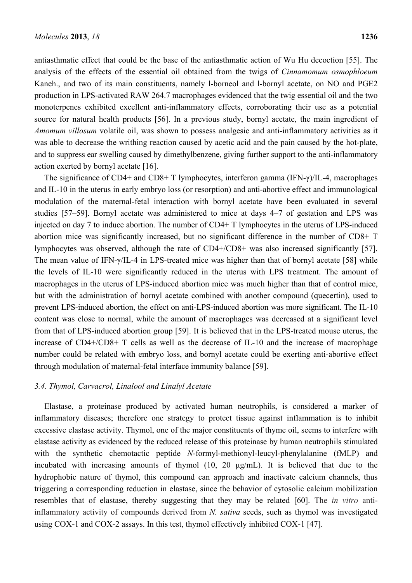antiasthmatic effect that could be the base of the antiasthmatic action of Wu Hu decoction [55]. The analysis of the effects of the essential oil obtained from the twigs of *Cinnamomum osmophloeum* Kaneh., and two of its main constituents, namely l-borneol and l-bornyl acetate, on NO and PGE2 production in LPS-activated RAW 264.7 macrophages evidenced that the twig essential oil and the two monoterpenes exhibited excellent anti-inflammatory effects, corroborating their use as a potential source for natural health products [56]. In a previous study, bornyl acetate, the main ingredient of *Amomum villosum* volatile oil, was shown to possess analgesic and anti-inflammatory activities as it was able to decrease the writhing reaction caused by acetic acid and the pain caused by the hot-plate, and to suppress ear swelling caused by dimethylbenzene, giving further support to the anti-inflammatory action exerted by bornyl acetate [16].

The significance of CD4+ and CD8+ T lymphocytes, interferon gamma (IFN-γ)/IL-4, macrophages and IL-10 in the uterus in early embryo loss (or resorption) and anti-abortive effect and immunological modulation of the maternal-fetal interaction with bornyl acetate have been evaluated in several studies [57–59]. Bornyl acetate was administered to mice at days 4–7 of gestation and LPS was injected on day 7 to induce abortion. The number of CD4+ T lymphocytes in the uterus of LPS-induced abortion mice was significantly increased, but no significant difference in the number of CD8+ T lymphocytes was observed, although the rate of CD4+/CD8+ was also increased significantly [57]. The mean value of IFN-γ/IL-4 in LPS-treated mice was higher than that of bornyl acetate [58] while the levels of IL-10 were significantly reduced in the uterus with LPS treatment. The amount of macrophages in the uterus of LPS-induced abortion mice was much higher than that of control mice, but with the administration of bornyl acetate combined with another compound (quecertin), used to prevent LPS-induced abortion, the effect on anti-LPS-induced abortion was more significant. The IL-10 content was close to normal, while the amount of macrophages was decreased at a significant level from that of LPS-induced abortion group [59]. It is believed that in the LPS-treated mouse uterus, the increase of CD4+/CD8+ T cells as well as the decrease of IL-10 and the increase of macrophage number could be related with embryo loss, and bornyl acetate could be exerting anti-abortive effect through modulation of maternal-fetal interface immunity balance [59].

## *3.4. Thymol, Carvacrol, Linalool and Linalyl Acetate*

Elastase, a proteinase produced by activated human neutrophils, is considered a marker of inflammatory diseases; therefore one strategy to protect tissue against inflammation is to inhibit excessive elastase activity. Thymol, one of the major constituents of thyme oil, seems to interfere with elastase activity as evidenced by the reduced release of this proteinase by human neutrophils stimulated with the synthetic chemotactic peptide *N*-formyl-methionyl-leucyl-phenylalanine (fMLP) and incubated with increasing amounts of thymol (10, 20 μg/mL). It is believed that due to the hydrophobic nature of thymol, this compound can approach and inactivate calcium channels, thus triggering a corresponding reduction in elastase, since the behavior of cytosolic calcium mobilization resembles that of elastase, thereby suggesting that they may be related [60]. The *in vitro* antiinflammatory activity of compounds derived from *N. sativa* seeds, such as thymol was investigated using COX-1 and COX-2 assays. In this test, thymol effectively inhibited COX-1 [47].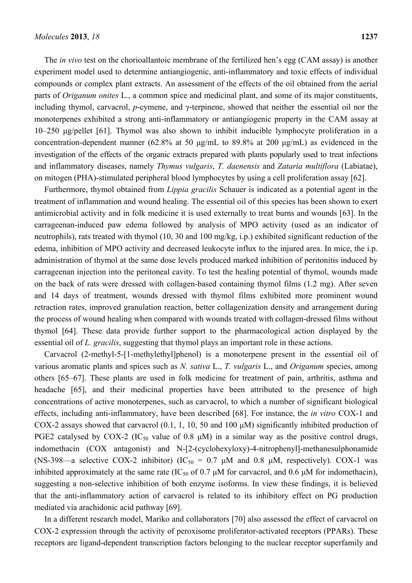The *in vivo* test on the chorioallantoic membrane of the fertilized hen's egg (CAM assay) is another experiment model used to determine antiangiogenic, anti-inflammatory and toxic effects of individual compounds or complex plant extracts. An assessment of the effects of the oil obtained from the aerial parts of *Origanum onites* L., a common spice and medicinal plant, and some of its major constituents, including thymol, carvacrol, *p*-cymene, and γ-terpinene, showed that neither the essential oil nor the monoterpenes exhibited a strong anti-inflammatory or antiangiogenic property in the CAM assay at 10–250 μg/pellet [61]. Thymol was also shown to inhibit inducible lymphocyte proliferation in a concentration-dependent manner (62.8% at 50 μg/mL to 89.8% at 200 μg/mL) as evidenced in the investigation of the effects of the organic extracts prepared with plants popularly used to treat infections and inflammatory diseases, namely *Thymus vulgaris*, *T. daenensis* and *Zataria multiflora* (Labiatae), on mitogen (PHA)-stimulated peripheral blood lymphocytes by using a cell proliferation assay [62].

Furthermore, thymol obtained from *Lippia gracilis* Schauer is indicated as a potential agent in the treatment of inflammation and wound healing. The essential oil of this species has been shown to exert antimicrobial activity and in folk medicine it is used externally to treat burns and wounds [63]. In the carrageenan-induced paw edema followed by analysis of MPO activity (used as an indicator of neutrophils), rats treated with thymol (10, 30 and 100 mg/kg, i.p.) exhibited significant reduction of the edema, inhibition of MPO activity and decreased leukocyte influx to the injured area. In mice, the i.p. administration of thymol at the same dose levels produced marked inhibition of peritonitis induced by carrageenan injection into the peritoneal cavity. To test the healing potential of thymol, wounds made on the back of rats were dressed with collagen-based containing thymol films (1.2 mg). After seven and 14 days of treatment, wounds dressed with thymol films exhibited more prominent wound retraction rates, improved granulation reaction, better collagenization density and arrangement during the process of wound healing when compared with wounds treated with collagen-dressed films without thymol [64]. These data provide further support to the pharmacological action displayed by the essential oil of *L. gracilis*, suggesting that thymol plays an important role in these actions.

Carvacrol (2-methyl-5-[1-methylethyl]phenol) is a monoterpene present in the essential oil of various aromatic plants and spices such as *N. sativa* L., *T. vulgaris* L., and *Origanum* species, among others [65–67]. These plants are used in folk medicine for treatment of pain, arthritis, asthma and headache [65], and their medicinal properties have been attributed to the presence of high concentrations of active monoterpenes, such as carvacrol, to which a number of significant biological effects, including anti-inflammatory, have been described [68]. For instance, the *in vitro* COX-1 and COX-2 assays showed that carvacrol (0.1, 1, 10, 50 and 100 μM) significantly inhibited production of PGE2 catalysed by COX-2 (IC<sub>50</sub> value of 0.8  $\mu$ M) in a similar way as the positive control drugs, indomethacin (COX antagonist) and N-[2-(cyclohexyloxy)-4-nitrophenyl]-methanesulphonamide (NS-398—a selective COX-2 inhibitor) (IC<sub>50</sub> = 0.7  $\mu$ M and 0.8  $\mu$ M, respectively). COX-1 was inhibited approximately at the same rate (IC<sub>50</sub> of 0.7  $\mu$ M for carvacrol, and 0.6  $\mu$ M for indomethacin), suggesting a non-selective inhibition of both enzyme isoforms. In view these findings, it is believed that the anti-inflammatory action of carvacrol is related to its inhibitory effect on PG production mediated via arachidonic acid pathway [69].

In a different research model, Mariko and collaborators [70] also assessed the effect of carvacrol on COX-2 expression through the activity of peroxisome proliferator-activated receptors (PPARs). These receptors are ligand-dependent transcription factors belonging to the nuclear receptor superfamily and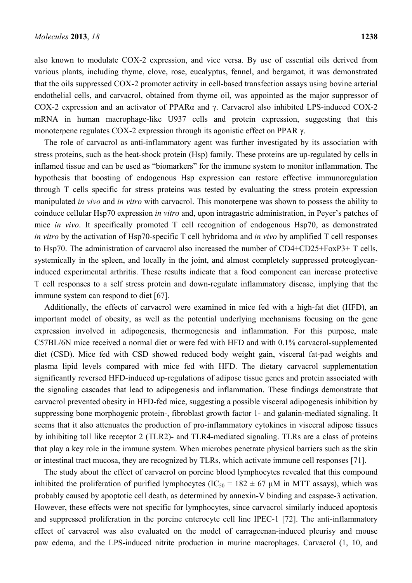also known to modulate COX-2 expression, and vice versa. By use of essential oils derived from various plants, including thyme, clove, rose, eucalyptus, fennel, and bergamot, it was demonstrated that the oils suppressed COX-2 promoter activity in cell-based transfection assays using bovine arterial endothelial cells, and carvacrol, obtained from thyme oil, was appointed as the major suppressor of COX-2 expression and an activator of PPARα and γ. Carvacrol also inhibited LPS-induced COX-2 mRNA in human macrophage-like U937 cells and protein expression, suggesting that this monoterpene regulates COX-2 expression through its agonistic effect on PPAR γ.

The role of carvacrol as anti-inflammatory agent was further investigated by its association with stress proteins, such as the heat-shock protein (Hsp) family. These proteins are up-regulated by cells in inflamed tissue and can be used as "biomarkers" for the immune system to monitor inflammation. The hypothesis that boosting of endogenous Hsp expression can restore effective immunoregulation through T cells specific for stress proteins was tested by evaluating the stress protein expression manipulated *in vivo* and *in vitro* with carvacrol. This monoterpene was shown to possess the ability to coinduce cellular Hsp70 expression *in vitro* and, upon intragastric administration, in Peyer's patches of mice *in vivo*. It specifically promoted T cell recognition of endogenous Hsp70, as demonstrated *in vitro* by the activation of Hsp70-specific T cell hybridoma and *in vivo* by amplified T cell responses to Hsp70. The administration of carvacrol also increased the number of CD4+CD25+FoxP3+ T cells, systemically in the spleen, and locally in the joint, and almost completely suppressed proteoglycaninduced experimental arthritis. These results indicate that a food component can increase protective T cell responses to a self stress protein and down-regulate inflammatory disease, implying that the immune system can respond to diet [67].

Additionally, the effects of carvacrol were examined in mice fed with a high-fat diet (HFD), an important model of obesity, as well as the potential underlying mechanisms focusing on the gene expression involved in adipogenesis, thermogenesis and inflammation. For this purpose, male C57BL/6N mice received a normal diet or were fed with HFD and with 0.1% carvacrol-supplemented diet (CSD). Mice fed with CSD showed reduced body weight gain, visceral fat-pad weights and plasma lipid levels compared with mice fed with HFD. The dietary carvacrol supplementation significantly reversed HFD-induced up-regulations of adipose tissue genes and protein associated with the signaling cascades that lead to adipogenesis and inflammation. These findings demonstrate that carvacrol prevented obesity in HFD-fed mice, suggesting a possible visceral adipogenesis inhibition by suppressing bone morphogenic protein-, fibroblast growth factor 1- and galanin-mediated signaling. It seems that it also attenuates the production of pro-inflammatory cytokines in visceral adipose tissues by inhibiting toll like receptor 2 (TLR2)- and TLR4-mediated signaling. TLRs are a class of proteins that play a key role in the immune system. When microbes penetrate physical barriers such as the skin or intestinal tract mucosa, they are recognized by TLRs, which activate immune cell responses [71].

The study about the effect of carvacrol on porcine blood lymphocytes revealed that this compound inhibited the proliferation of purified lymphocytes (IC<sub>50</sub> = 182  $\pm$  67  $\mu$ M in MTT assays), which was probably caused by apoptotic cell death, as determined by annexin-V binding and caspase-3 activation. However, these effects were not specific for lymphocytes, since carvacrol similarly induced apoptosis and suppressed proliferation in the porcine enterocyte cell line IPEC-1 [72]. The anti-inflammatory effect of carvacrol was also evaluated on the model of carrageenan-induced pleurisy and mouse paw edema, and the LPS-induced nitrite production in murine macrophages. Carvacrol (1, 10, and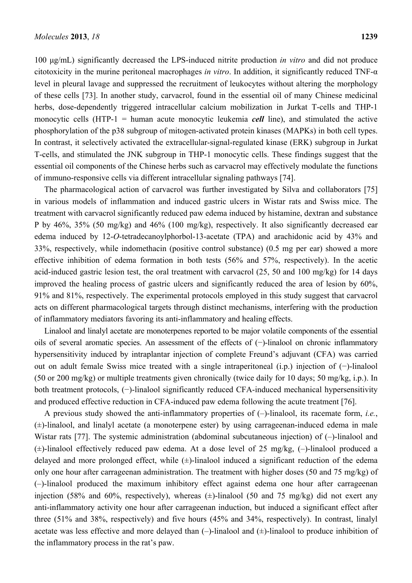100 μg/mL) significantly decreased the LPS-induced nitrite production *in vitro* and did not produce citotoxicity in the murine peritoneal macrophages *in vitro*. In addition, it significantly reduced TNF-α level in pleural lavage and suppressed the recruitment of leukocytes without altering the morphology of these cells [73]. In another study, carvacrol, found in the essential oil of many Chinese medicinal herbs, dose-dependently triggered intracellular calcium mobilization in Jurkat T-cells and THP-1 monocytic cells (HTP-1 = human acute monocytic leukemia *cell* line), and stimulated the active phosphorylation of the p38 subgroup of mitogen-activated protein kinases (MAPKs) in both cell types. In contrast, it selectively activated the extracellular-signal-regulated kinase (ERK) subgroup in Jurkat T-cells, and stimulated the JNK subgroup in THP-1 monocytic cells. These findings suggest that the essential oil components of the Chinese herbs such as carvacrol may effectively modulate the functions of immuno-responsive cells via different intracellular signaling pathways [74].

The pharmacological action of carvacrol was further investigated by Silva and collaborators [75] in various models of inflammation and induced gastric ulcers in Wistar rats and Swiss mice. The treatment with carvacrol significantly reduced paw edema induced by histamine, dextran and substance P by 46%, 35% (50 mg/kg) and 46% (100 mg/kg), respectively. It also significantly decreased ear edema induced by 12-*O*-tetradecanoylphorbol-13-acetate (TPA) and arachidonic acid by 43% and 33%, respectively, while indomethacin (positive control substance) (0.5 mg per ear) showed a more effective inhibition of edema formation in both tests (56% and 57%, respectively). In the acetic acid-induced gastric lesion test, the oral treatment with carvacrol (25, 50 and 100 mg/kg) for 14 days improved the healing process of gastric ulcers and significantly reduced the area of lesion by 60%, 91% and 81%, respectively. The experimental protocols employed in this study suggest that carvacrol acts on different pharmacological targets through distinct mechanisms, interfering with the production of inflammatory mediators favoring its anti-inflammatory and healing effects.

Linalool and linalyl acetate are monoterpenes reported to be major volatile components of the essential oils of several aromatic species. An assessment of the effects of (−)-linalool on chronic inflammatory hypersensitivity induced by intraplantar injection of complete Freund's adjuvant (CFA) was carried out on adult female Swiss mice treated with a single intraperitoneal (i.p.) injection of (−)-linalool (50 or 200 mg/kg) or multiple treatments given chronically (twice daily for 10 days; 50 mg/kg, i.p.). In both treatment protocols, (−)-linalool significantly reduced CFA-induced mechanical hypersensitivity and produced effective reduction in CFA-induced paw edema following the acute treatment [76].

A previous study showed the anti-inflammatory properties of (–)-linalool, its racemate form, *i.e.*, (±)-linalool, and linalyl acetate (a monoterpene ester) by using carrageenan-induced edema in male Wistar rats [77]. The systemic administration (abdominal subcutaneous injection) of  $(-)$ -linalool and (±)-linalool effectively reduced paw edema. At a dose level of 25 mg/kg, (–)-linalool produced a delayed and more prolonged effect, while  $(\pm)$ -linalool induced a significant reduction of the edema only one hour after carrageenan administration. The treatment with higher doses (50 and 75 mg/kg) of (–)-linalool produced the maximum inhibitory effect against edema one hour after carrageenan injection (58% and 60%, respectively), whereas  $(\pm)$ -linalool (50 and 75 mg/kg) did not exert any anti-inflammatory activity one hour after carrageenan induction, but induced a significant effect after three (51% and 38%, respectively) and five hours (45% and 34%, respectively). In contrast, linalyl acetate was less effective and more delayed than  $(-)$ -linalool and  $(\pm)$ -linalool to produce inhibition of the inflammatory process in the rat's paw.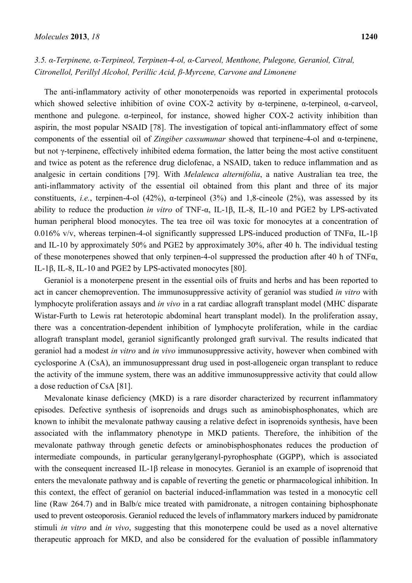# *3.5. α-Terpinene, α-Terpineol, Terpinen-4-ol, α-Carveol, Menthone, Pulegone, Geraniol, Citral, Citronellol, Perillyl Alcohol, Perillic Acid, β-Myrcene, Carvone and Limonene*

The anti-inflammatory activity of other monoterpenoids was reported in experimental protocols which showed selective inhibition of ovine COX-2 activity by α-terpinene, α-terpineol, α-carveol, menthone and pulegone. α-terpineol, for instance, showed higher COX-2 activity inhibition than aspirin, the most popular NSAID [78]. The investigation of topical anti-inflammatory effect of some components of the essential oil of *Zingiber cassumunar* showed that terpinene-4-ol and α-terpinene, but not γ-terpinene, effectively inhibited edema formation, the latter being the most active constituent and twice as potent as the reference drug diclofenac, a NSAID, taken to reduce inflammation and as analgesic in certain conditions [79]. With *Melaleuca alternifolia*, a native Australian tea tree, the anti-inflammatory activity of the essential oil obtained from this plant and three of its major constituents, *i.e.*, terpinen-4-ol (42%), α-terpineol (3%) and 1,8-cineole (2%), was assessed by its ability to reduce the production *in vitro* of TNF-α, IL-1β, IL-8, IL-10 and PGE2 by LPS-activated human peripheral blood monocytes. The tea tree oil was toxic for monocytes at a concentration of 0.016% v/v, whereas terpinen-4-ol significantly suppressed LPS-induced production of TNFα, IL-1β and IL-10 by approximately 50% and PGE2 by approximately 30%, after 40 h. The individual testing of these monoterpenes showed that only terpinen-4-ol suppressed the production after 40 h of TNF $\alpha$ , IL-1β, IL-8, IL-10 and PGE2 by LPS-activated monocytes [80].

Geraniol is a monoterpene present in the essential oils of fruits and herbs and has been reported to act in cancer chemoprevention. The immunosuppressive activity of geraniol was studied *in vitro* with lymphocyte proliferation assays and *in vivo* in a rat cardiac allograft transplant model (MHC disparate Wistar-Furth to Lewis rat heterotopic abdominal heart transplant model). In the proliferation assay, there was a concentration-dependent inhibition of lymphocyte proliferation, while in the cardiac allograft transplant model, geraniol significantly prolonged graft survival. The results indicated that geraniol had a modest *in vitro* and *in vivo* immunosuppressive activity, however when combined with cyclosporine A (CsA), an immunosuppressant drug used in post-allogeneic organ transplant to reduce the activity of the immune system, there was an additive immunosuppressive activity that could allow a dose reduction of CsA [81].

Mevalonate kinase deficiency (MKD) is a rare disorder characterized by recurrent inflammatory episodes. Defective synthesis of isoprenoids and drugs such as aminobisphosphonates, which are known to inhibit the mevalonate pathway causing a relative defect in isoprenoids synthesis, have been associated with the inflammatory phenotype in MKD patients. Therefore, the inhibition of the mevalonate pathway through genetic defects or aminobisphosphonates reduces the production of intermediate compounds, in particular geranylgeranyl-pyrophosphate (GGPP), which is associated with the consequent increased IL-1β release in monocytes. Geraniol is an example of isoprenoid that enters the mevalonate pathway and is capable of reverting the genetic or pharmacological inhibition. In this context, the effect of geraniol on bacterial induced-inflammation was tested in a monocytic cell line (Raw 264.7) and in Balb/c mice treated with pamidronate, a nitrogen containing biphosphonate used to prevent osteoporosis. Geraniol reduced the levels of inflammatory markers induced by pamidronate stimuli *in vitro* and *in vivo*, suggesting that this monoterpene could be used as a novel alternative therapeutic approach for MKD, and also be considered for the evaluation of possible inflammatory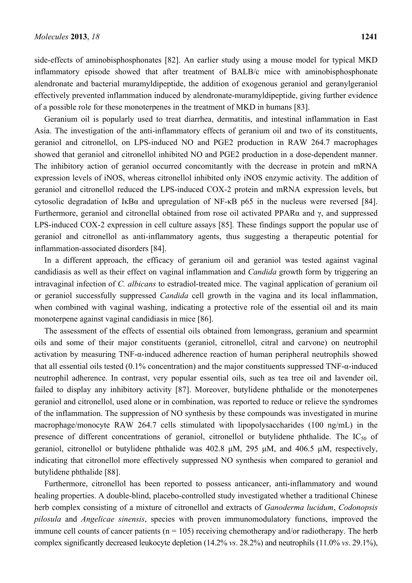side-effects of aminobisphosphonates [82]. An earlier study using a mouse model for typical MKD inflammatory episode showed that after treatment of BALB/c mice with aminobisphosphonate alendronate and bacterial muramyldipeptide, the addition of exogenous geraniol and geranylgeraniol effectively prevented inflammation induced by alendronate-muramyldipeptide, giving further evidence of a possible role for these monoterpenes in the treatment of MKD in humans [83].

Geranium oil is popularly used to treat diarrhea, dermatitis, and intestinal inflammation in East Asia. The investigation of the anti-inflammatory effects of geranium oil and two of its constituents, geraniol and citronellol, on LPS-induced NO and PGE2 production in RAW 264.7 macrophages showed that geraniol and citronellol inhibited NO and PGE2 production in a dose-dependent manner. The inhibitory action of geraniol occurred concomitantly with the decrease in protein and mRNA expression levels of iNOS, whereas citronellol inhibited only iNOS enzymic activity. The addition of geraniol and citronellol reduced the LPS-induced COX-2 protein and mRNA expression levels, but cytosolic degradation of IκBα and upregulation of NF-κB p65 in the nucleus were reversed [84]. Furthermore, geraniol and citronellal obtained from rose oil activated PPARα and γ, and suppressed LPS-induced COX-2 expression in cell culture assays [85]. These findings support the popular use of geraniol and citronellol as anti-inflammatory agents, thus suggesting a therapeutic potential for inflammation-associated disorders [84].

In a different approach, the efficacy of geranium oil and geraniol was tested against vaginal candidiasis as well as their effect on vaginal inflammation and *Candida* growth form by triggering an intravaginal infection of *C. albicans* to estradiol-treated mice. The vaginal application of geranium oil or geraniol successfully suppressed *Candida* cell growth in the vagina and its local inflammation, when combined with vaginal washing, indicating a protective role of the essential oil and its main monoterpene against vaginal candidiasis in mice [86].

The assessment of the effects of essential oils obtained from lemongrass, geranium and spearmint oils and some of their major constituents (geraniol, citronellol, citral and carvone) on neutrophil activation by measuring TNF-α-induced adherence reaction of human peripheral neutrophils showed that all essential oils tested (0.1% concentration) and the major constituents suppressed TNF-α-induced neutrophil adherence. In contrast, very popular essential oils, such as tea tree oil and lavender oil, failed to display any inhibitory activity [87]. Moreover, butylidene phthalide or the monoterpenes geraniol and citronellol, used alone or in combination, was reported to reduce or relieve the syndromes of the inflammation. The suppression of NO synthesis by these compounds was investigated in murine macrophage/monocyte RAW 264.7 cells stimulated with lipopolysaccharides (100 ng/mL) in the presence of different concentrations of geraniol, citronellol or butylidene phthalide. The  $IC_{50}$  of geraniol, citronellol or butylidene phthalide was 402.8 μM, 295 μM, and 406.5 μM, respectively, indicating that citronellol more effectively suppressed NO synthesis when compared to geraniol and butylidene phthalide [88].

Furthermore, citronellol has been reported to possess anticancer, anti-inflammatory and wound healing properties. A double-blind, placebo-controlled study investigated whether a traditional Chinese herb complex consisting of a mixture of citronellol and extracts of *Ganoderma lucidum*, *Codonopsis pilosula* and *Angelicae sinensis*, species with proven immunomodulatory functions, improved the immune cell counts of cancer patients ( $n = 105$ ) receiving chemotherapy and/or radiotherapy. The herb complex significantly decreased leukocyte depletion (14.2% *vs*. 28.2%) and neutrophils (11.0% *vs*. 29.1%),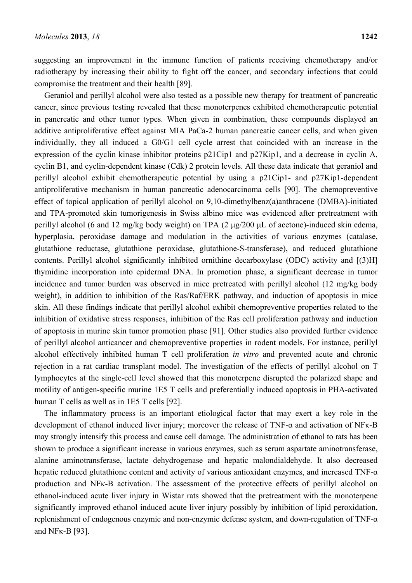suggesting an improvement in the immune function of patients receiving chemotherapy and/or radiotherapy by increasing their ability to fight off the cancer, and secondary infections that could compromise the treatment and their health [89].

Geraniol and perillyl alcohol were also tested as a possible new therapy for treatment of pancreatic cancer, since previous testing revealed that these monoterpenes exhibited chemotherapeutic potential in pancreatic and other tumor types. When given in combination, these compounds displayed an additive antiproliferative effect against MIA PaCa-2 human pancreatic cancer cells, and when given individually, they all induced a G0/G1 cell cycle arrest that coincided with an increase in the expression of the cyclin kinase inhibitor proteins p21Cip1 and p27Kip1, and a decrease in cyclin A, cyclin B1, and cyclin-dependent kinase (Cdk) 2 protein levels. All these data indicate that geraniol and perillyl alcohol exhibit chemotherapeutic potential by using a p21Cip1- and p27Kip1-dependent antiproliferative mechanism in human pancreatic adenocarcinoma cells [90]. The chemopreventive effect of topical application of perillyl alcohol on 9,10-dimethylbenz(a)anthracene (DMBA)-initiated and TPA-promoted skin tumorigenesis in Swiss albino mice was evidenced after pretreatment with perillyl alcohol (6 and 12 mg/kg body weight) on TPA (2 μg/200 μL of acetone)-induced skin edema, hyperplasia, peroxidase damage and modulation in the activities of various enzymes (catalase, glutathione reductase, glutathione peroxidase, glutathione-S-transferase), and reduced glutathione contents. Perillyl alcohol significantly inhibited ornithine decarboxylase (ODC) activity and [(3)H] thymidine incorporation into epidermal DNA. In promotion phase, a significant decrease in tumor incidence and tumor burden was observed in mice pretreated with perillyl alcohol (12 mg/kg body weight), in addition to inhibition of the Ras/Raf/ERK pathway, and induction of apoptosis in mice skin. All these findings indicate that perillyl alcohol exhibit chemopreventive properties related to the inhibition of oxidative stress responses, inhibition of the Ras cell proliferation pathway and induction of apoptosis in murine skin tumor promotion phase [91]. Other studies also provided further evidence of perillyl alcohol anticancer and chemopreventive properties in rodent models. For instance, perillyl alcohol effectively inhibited human T cell proliferation *in vitro* and prevented acute and chronic rejection in a rat cardiac transplant model. The investigation of the effects of perillyl alcohol on T lymphocytes at the single-cell level showed that this monoterpene disrupted the polarized shape and motility of antigen-specific murine 1E5 T cells and preferentially induced apoptosis in PHA-activated human T cells as well as in 1E5 T cells [92].

The inflammatory process is an important etiological factor that may exert a key role in the development of ethanol induced liver injury; moreover the release of TNF-α and activation of NFκ-B may strongly intensify this process and cause cell damage. The administration of ethanol to rats has been shown to produce a significant increase in various enzymes, such as serum aspartate aminotransferase, alanine aminotransferase, lactate dehydrogenase and hepatic malondialdehyde. It also decreased hepatic reduced glutathione content and activity of various antioxidant enzymes, and increased TNF-α production and NFκ-B activation. The assessment of the protective effects of perillyl alcohol on ethanol-induced acute liver injury in Wistar rats showed that the pretreatment with the monoterpene significantly improved ethanol induced acute liver injury possibly by inhibition of lipid peroxidation, replenishment of endogenous enzymic and non-enzymic defense system, and down-regulation of TNF- $α$ and NFκ-B [93].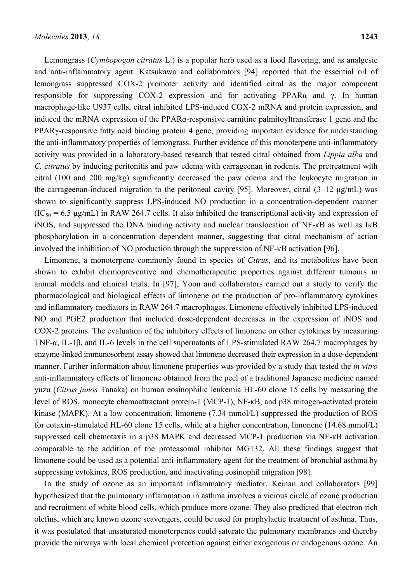Lemongrass (*Cymbopogon citratus* L.) is a popular herb used as a food flavoring, and as analgesic and anti-inflammatory agent. Katsukawa and collaborators [94] reported that the essential oil of lemongrass suppressed COX-2 promoter activity and identified citral as the major component responsible for suppressing COX-2 expression and for activating PPARα and γ. In human macrophage-like U937 cells, citral inhibited LPS-induced COX-2 mRNA and protein expression, and induced the mRNA expression of the PPARα-responsive carnitine palmitoyltransferase 1 gene and the PPARγ-responsive fatty acid binding protein 4 gene, providing important evidence for understanding the anti-inflammatory properties of lemongrass. Further evidence of this monoterpene anti-inflammatory activity was provided in a laboratory-based research that tested citral obtained from *Lippia alba* and *C. citratus* by inducing peritonitis and paw edema with carrageenan in rodents. The pretreatment with citral (100 and 200 mg/kg) significantly decreased the paw edema and the leukocyte migration in the carrageenan-induced migration to the peritoneal cavity [95]. Moreover, citral (3–12 μg/mL) was shown to significantly suppress LPS-induced NO production in a concentration-dependent manner  $(IC_{50} = 6.5 \text{ µg/mL})$  in RAW 264.7 cells. It also inhibited the transcriptional activity and expression of iNOS, and suppressed the DNA binding activity and nuclear translocation of NF-κB as well as IκB phosphorylation in a concentration dependent manner, suggesting that citral mechanism of action involved the inhibition of NO production through the suppression of NF-κB activation [96].

Limonene, a monoterpene commonly found in species of *Citrus*, and its metabolites have been shown to exhibit chemopreventive and chemotherapeutic properties against different tumours in animal models and clinical trials. In [97], Yoon and collaborators carried out a study to verify the pharmacological and biological effects of limonene on the production of pro-inflammatory cytokines and inflammatory mediators in RAW 264.7 macrophages. Limonene effectively inhibited LPS-induced NO and PGE2 production that included dose-dependent decreases in the expression of iNOS and COX-2 proteins. The evaluation of the inhibitory effects of limonene on other cytokines by measuring TNF-α, IL-1β, and IL-6 levels in the cell supernatants of LPS-stimulated RAW 264.7 macrophages by enzyme-linked immunosorbent assay showed that limonene decreased their expression in a dose-dependent manner. Further information about limonene properties was provided by a study that tested the *in vitro* anti-inflammatory effects of limonene obtained from the peel of a traditional Japanese medicine named yuzu (*Citrus junos* Tanaka) on human eosinophilic leukemia HL-60 clone 15 cells by measuring the level of ROS, monocyte chemoattractant protein-1 (MCP-1), NF-κB, and p38 mitogen-activated protein kinase (MAPK). At a low concentration, limonene (7.34 mmol/L) suppressed the production of ROS for eotaxin-stimulated HL-60 clone 15 cells, while at a higher concentration, limonene (14.68 mmol/L) suppressed cell chemotaxis in a p38 MAPK and decreased MCP-1 production via NF-κB activation comparable to the addition of the proteasomal inhibitor MG132. All these findings suggest that limonene could be used as a potential anti-inflammatory agent for the treatment of bronchial asthma by suppressing cytokines, ROS production, and inactivating eosinophil migration [98].

In the study of ozone as an important inflammatory mediator, Keinan and collaborators [99] hypothesized that the pulmonary inflammation in asthma involves a vicious circle of ozone production and recruitment of white blood cells, which produce more ozone. They also predicted that electron-rich olefins, which are known ozone scavengers, could be used for prophylactic treatment of asthma. Thus, it was postulated that unsaturated monoterpenes could saturate the pulmonary membranes and thereby provide the airways with local chemical protection against either exogenous or endogenous ozone. An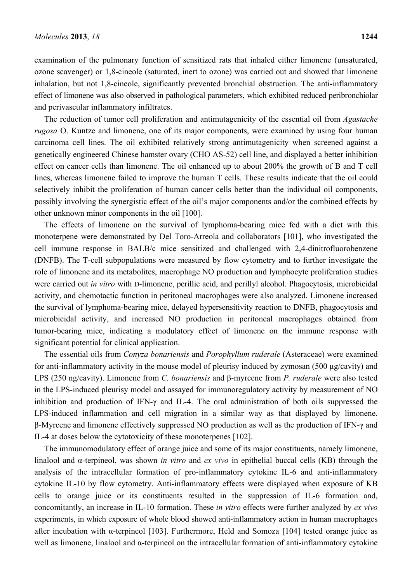examination of the pulmonary function of sensitized rats that inhaled either limonene (unsaturated, ozone scavenger) or 1,8-cineole (saturated, inert to ozone) was carried out and showed that limonene inhalation, but not 1,8-cineole, significantly prevented bronchial obstruction. The anti-inflammatory effect of limonene was also observed in pathological parameters, which exhibited reduced peribronchiolar and perivascular inflammatory infiltrates.

The reduction of tumor cell proliferation and antimutagenicity of the essential oil from *Agastache rugosa* O. Kuntze and limonene, one of its major components, were examined by using four human carcinoma cell lines. The oil exhibited relatively strong antimutagenicity when screened against a genetically engineered Chinese hamster ovary (CHO AS-52) cell line, and displayed a better inhibition effect on cancer cells than limonene. The oil enhanced up to about 200% the growth of B and T cell lines, whereas limonene failed to improve the human T cells. These results indicate that the oil could selectively inhibit the proliferation of human cancer cells better than the individual oil components, possibly involving the synergistic effect of the oil's major components and/or the combined effects by other unknown minor components in the oil [100].

The effects of limonene on the survival of lymphoma-bearing mice fed with a diet with this monoterpene were demonstrated by Del Toro-Arreola and collaborators [101], who investigated the cell immune response in BALB/c mice sensitized and challenged with 2,4-dinitrofluorobenzene (DNFB). The T-cell subpopulations were measured by flow cytometry and to further investigate the role of limonene and its metabolites, macrophage NO production and lymphocyte proliferation studies were carried out *in vitro* with D-limonene, perillic acid, and perillyl alcohol. Phagocytosis, microbicidal activity, and chemotactic function in peritoneal macrophages were also analyzed. Limonene increased the survival of lymphoma-bearing mice, delayed hypersensitivity reaction to DNFB, phagocytosis and microbicidal activity, and increased NO production in peritoneal macrophages obtained from tumor-bearing mice, indicating a modulatory effect of limonene on the immune response with significant potential for clinical application.

The essential oils from *Conyza bonariensis* and *Porophyllum ruderale* (Asteraceae) were examined for anti-inflammatory activity in the mouse model of pleurisy induced by zymosan (500 μg/cavity) and LPS (250 ng/cavity). Limonene from *C. bonariensis* and β-myrcene from *P. ruderale* were also tested in the LPS-induced pleurisy model and assayed for immunoregulatory activity by measurement of NO inhibition and production of IFN- $\gamma$  and IL-4. The oral administration of both oils suppressed the LPS-induced inflammation and cell migration in a similar way as that displayed by limonene. β-Myrcene and limonene effectively suppressed NO production as well as the production of IFN-γ and IL-4 at doses below the cytotoxicity of these monoterpenes [102].

The immunomodulatory effect of orange juice and some of its major constituents, namely limonene, linalool and α-terpineol, was shown *in vitro* and *ex vivo* in epithelial buccal cells (KB) through the analysis of the intracellular formation of pro-inflammatory cytokine IL-6 and anti-inflammatory cytokine IL-10 by flow cytometry. Anti-inflammatory effects were displayed when exposure of KB cells to orange juice or its constituents resulted in the suppression of IL-6 formation and, concomitantly, an increase in IL-10 formation. These *in vitro* effects were further analyzed by *ex vivo* experiments, in which exposure of whole blood showed anti-inflammatory action in human macrophages after incubation with  $\alpha$ -terpineol [103]. Furthermore, Held and Somoza [104] tested orange juice as well as limonene, linalool and α-terpineol on the intracellular formation of anti-inflammatory cytokine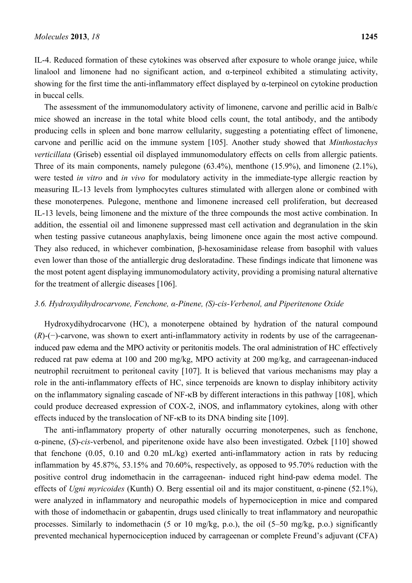IL-4. Reduced formation of these cytokines was observed after exposure to whole orange juice, while linalool and limonene had no significant action, and α-terpineol exhibited a stimulating activity, showing for the first time the anti-inflammatory effect displayed by  $\alpha$ -terpineol on cytokine production in buccal cells.

The assessment of the immunomodulatory activity of limonene, carvone and perillic acid in Balb/c mice showed an increase in the total white blood cells count, the total antibody, and the antibody producing cells in spleen and bone marrow cellularity, suggesting a potentiating effect of limonene, carvone and perillic acid on the immune system [105]. Another study showed that *Minthostachys verticillata* (Griseb) essential oil displayed immunomodulatory effects on cells from allergic patients. Three of its main components, namely pulegone (63.4%), menthone (15.9%), and limonene (2.1%), were tested *in vitro* and *in vivo* for modulatory activity in the immediate-type allergic reaction by measuring IL-13 levels from lymphocytes cultures stimulated with allergen alone or combined with these monoterpenes. Pulegone, menthone and limonene increased cell proliferation, but decreased IL-13 levels, being limonene and the mixture of the three compounds the most active combination. In addition, the essential oil and limonene suppressed mast cell activation and degranulation in the skin when testing passive cutaneous anaphylaxis, being limonene once again the most active compound. They also reduced, in whichever combination, β-hexosaminidase release from basophil with values even lower than those of the antiallergic drug desloratadine. These findings indicate that limonene was the most potent agent displaying immunomodulatory activity, providing a promising natural alternative for the treatment of allergic diseases [106].

## *3.6. Hydroxydihydrocarvone, Fenchone, α-Pinene, (S)-cis-Verbenol, and Piperitenone Oxide*

Hydroxydihydrocarvone (HC), a monoterpene obtained by hydration of the natural compound (*R*)-(−)-carvone, was shown to exert anti-inflammatory activity in rodents by use of the carrageenaninduced paw edema and the MPO activity or peritonitis models. The oral administration of HC effectively reduced rat paw edema at 100 and 200 mg/kg, MPO activity at 200 mg/kg, and carrageenan-induced neutrophil recruitment to peritoneal cavity [107]. It is believed that various mechanisms may play a role in the anti-inflammatory effects of HC, since terpenoids are known to display inhibitory activity on the inflammatory signaling cascade of NF- $\kappa$ B by different interactions in this pathway [108], which could produce decreased expression of COX-2, iNOS, and inflammatory cytokines, along with other effects induced by the translocation of  $NF-\kappa B$  to its DNA binding site [109].

The anti-inflammatory property of other naturally occurring monoterpenes, such as fenchone, α-pinene, (*S*)-*cis*-verbenol, and piperitenone oxide have also been investigated. Ozbek [110] showed that fenchone (0.05, 0.10 and 0.20 mL/kg) exerted anti-inflammatory action in rats by reducing inflammation by 45.87%, 53.15% and 70.60%, respectively, as opposed to 95.70% reduction with the positive control drug indomethacin in the carrageenan- induced right hind-paw edema model. The effects of *Ugni myricoides* (Kunth) O. Berg essential oil and its major constituent, α-pinene (52.1%), were analyzed in inflammatory and neuropathic models of hypernociception in mice and compared with those of indomethacin or gabapentin, drugs used clinically to treat inflammatory and neuropathic processes. Similarly to indomethacin (5 or 10 mg/kg, p.o.), the oil (5–50 mg/kg, p.o.) significantly prevented mechanical hypernociception induced by carrageenan or complete Freund's adjuvant (CFA)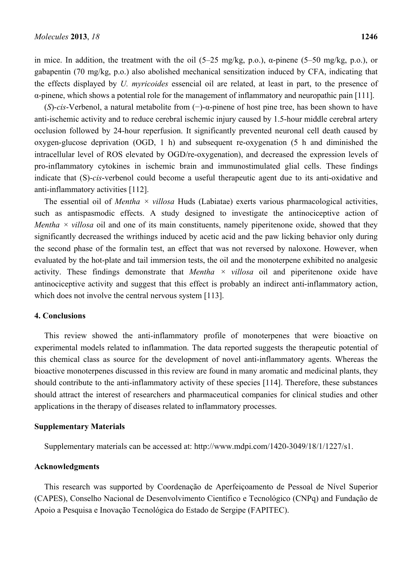in mice. In addition, the treatment with the oil  $(5-25 \text{ mg/kg}, \text{ p.o.})$ ,  $\alpha$ -pinene  $(5-50 \text{ mg/kg}, \text{ p.o.})$ , or gabapentin (70 mg/kg, p.o.) also abolished mechanical sensitization induced by CFA, indicating that the effects displayed by *U. myricoides* essencial oil are related, at least in part, to the presence of α-pinene, which shows a potential role for the management of inflammatory and neuropathic pain [111].

(*S*)-*cis*-Verbenol, a natural metabolite from (−)-α-pinene of host pine tree, has been shown to have anti-ischemic activity and to reduce cerebral ischemic injury caused by 1.5-hour middle cerebral artery occlusion followed by 24-hour reperfusion. It significantly prevented neuronal cell death caused by oxygen-glucose deprivation (OGD, 1 h) and subsequent re-oxygenation (5 h and diminished the intracellular level of ROS elevated by OGD/re-oxygenation), and decreased the expression levels of pro-inflammatory cytokines in ischemic brain and immunostimulated glial cells. These findings indicate that (S)-*cis*-verbenol could become a useful therapeutic agent due to its anti-oxidative and anti-inflammatory activities [112].

The essential oil of *Mentha × villosa* Huds (Labiatae) exerts various pharmacological activities, such as antispasmodic effects. A study designed to investigate the antinociceptive action of *Mentha*  $\times$  *villosa* oil and one of its main constituents, namely piperitenone oxide, showed that they significantly decreased the writhings induced by acetic acid and the paw licking behavior only during the second phase of the formalin test, an effect that was not reversed by naloxone. However, when evaluated by the hot-plate and tail immersion tests, the oil and the monoterpene exhibited no analgesic activity. These findings demonstrate that *Mentha × villosa* oil and piperitenone oxide have antinociceptive activity and suggest that this effect is probably an indirect anti-inflammatory action, which does not involve the central nervous system [113].

## **4. Conclusions**

This review showed the anti-inflammatory profile of monoterpenes that were bioactive on experimental models related to inflammation. The data reported suggests the therapeutic potential of this chemical class as source for the development of novel anti-inflammatory agents. Whereas the bioactive monoterpenes discussed in this review are found in many aromatic and medicinal plants, they should contribute to the anti-inflammatory activity of these species [114]. Therefore, these substances should attract the interest of researchers and pharmaceutical companies for clinical studies and other applications in the therapy of diseases related to inflammatory processes.

#### **Supplementary Materials**

Supplementary materials can be accessed at: http://www.mdpi.com/1420-3049/18/1/1227/s1.

#### **Acknowledgments**

This research was supported by Coordenação de Aperfeiçoamento de Pessoal de Nível Superior (CAPES), Conselho Nacional de Desenvolvimento Científico e Tecnológico (CNPq) and Fundação de Apoio a Pesquisa e Inovação Tecnológica do Estado de Sergipe (FAPITEC).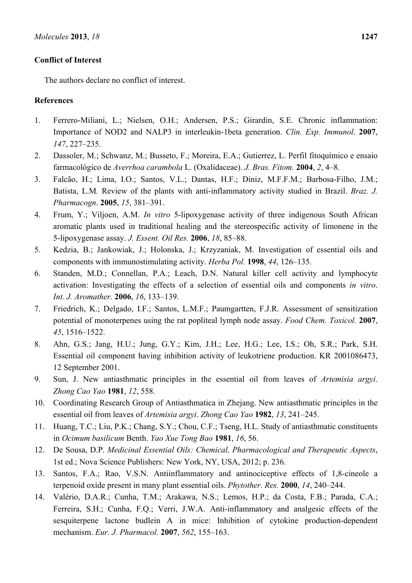# **Conflict of Interest**

The authors declare no conflict of interest.

# **References**

- 1. Ferrero-Miliani, L.; Nielsen, O.H.; Andersen, P.S.; Girardin, S.E. Chronic inflammation: Importance of NOD2 and NALP3 in interleukin-1beta generation. *Clin. Exp. Immunol*. **2007**, *147*, 227–235.
- 2. Dassoler, M.; Schwanz, M.; Busseto, F.; Moreira, E.A.; Gutierrez, L. Perfil fitoquímico e ensaio farmacológico de *Averrhoa carambola* L. (Oxalidaceae). *J. Bras. Fitom.* **2004**, *2*, 4–8.
- 3. Falcão, H.; Lima, I.O.; Santos, V.L.; Dantas, H.F.; Diniz, M.F.F.M.; Barbosa-Filho, J.M.; Batista, L.M*.* Review of the plants with anti-inflammatory activity studied in Brazil. *Braz. J. Pharmacogn*. **2005**, *15*, 381–391.
- 4. Frum, Y.; Viljoen, A.M. *In vitro* 5-lipoxygenase activity of three indigenous South African aromatic plants used in traditional healing and the stereospecific activity of limonene in the 5-lipoxygenase assay. *J. Essent. Oil Res.* **2006**, *18*, 85–88.
- 5. Kedzia, B.; Jankowiak, J.; Holonska, J.; Krzyzaniak, M. Investigation of essential oils and components with immunostimulating activity. *Herba Pol.* **1998**, *44*, 126–135.
- 6. Standen, M.D.; Connellan, P.A.; Leach, D.N. Natural killer cell activity and lymphocyte activation: Investigating the effects of a selection of essential oils and components *in vitro*. *Int. J. Aromather.* **2006**, *16*, 133–139.
- 7. Friedrich, K.; Delgado, I.F.; Santos, L.M.F.; Paumgartten, F.J.R. Assessment of sensitization potential of monoterpenes using the rat popliteal lymph node assay. *Food Chem. Toxicol.* **2007**, *45*, 1516–1522.
- 8. Ahn, G.S.; Jang, H.U.; Jung, G.Y.; Kim, J.H.; Lee, H.G.; Lee, I.S.; Oh, S.R.; Park, S.H. Essential oil component having inhibition activity of leukotriene production. KR 2001086473, 12 September 2001.
- 9. Sun, J. New antiasthmatic principles in the essential oil from leaves of *Artemisia argyi*. *Zhong Cao Yao* **1981**, *12*, 558.
- 10. Coordinating Research Group of Antiasthmatica in Zhejang. New antiasthmatic principles in the essential oil from leaves of *Artemisia argyi*. *Zhong Cao Yao* **1982**, *13*, 241–245.
- 11. Huang, T.C.; Liu, P.K.; Chang, S.Y.; Chou, C.F.; Tseng, H.L. Study of antiasthmatic constituents in *Ocimum basilicum* Benth. *Yao Xue Tong Bao* **1981**, *16*, 56.
- 12. De Sousa, D.P. *Medicinal Essential Oils: Chemical, Pharmacological and Therapeutic Aspects*, 1st ed.; Nova Science Publishers: New York, NY, USA, 2012; p. 236.
- 13. Santos, F.A.; Rao, V.S.N. Antiinflammatory and antinociceptive effects of 1,8-cineole a terpenoid oxide present in many plant essential oils. *Phytother. Res.* **2000**, *14*, 240–244.
- 14. Valério, D.A.R.; Cunha, T.M.; Arakawa, N.S.; Lemos, H.P.; da Costa, F.B.; Parada, C.A.; Ferreira, S.H.; Cunha, F.Q.; Verri, J.W.A. Anti-inflammatory and analgesic effects of the sesquiterpene lactone budlein A in mice: Inhibition of cytokine production-dependent mechanism. *Eur. J. Pharmacol.* **2007**, *562*, 155–163.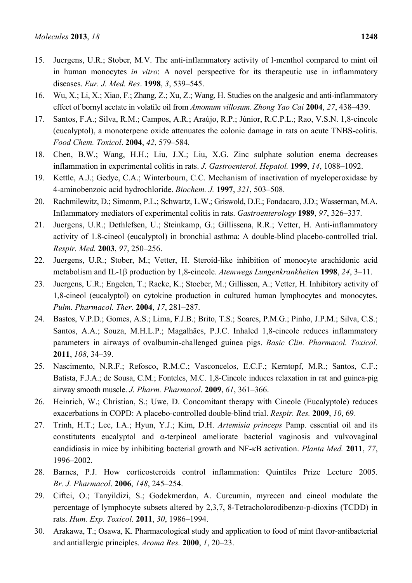- 15. Juergens, U.R.; Stober, M.V. The anti-inflammatory activity of l-menthol compared to mint oil in human monocytes *in vitro*: A novel perspective for its therapeutic use in inflammatory diseases. *Eur. J. Med. Res*. **1998**, *3*, 539–545.
- 16. Wu, X.; Li, X.; Xiao, F.; Zhang, Z.; Xu, Z.; Wang, H. Studies on the analgesic and anti-inflammatory effect of bornyl acetate in volatile oil from *Amomum villosum*. *Zhong Yao Cai* **2004**, *27*, 438–439.
- 17. Santos, F.A.; Silva, R.M.; Campos, A.R.; Araújo, R.P.; Júnior, R.C.P.L.; Rao, V.S.N. 1,8-cineole (eucalyptol), a monoterpene oxide attenuates the colonic damage in rats on acute TNBS-colitis. *Food Chem. Toxicol*. **2004**, *42*, 579–584.
- 18. Chen, B.W.; Wang, H.H.; Liu, J.X.; Liu, X.G. Zinc sulphate solution enema decreases inflammation in experimental colitis in rats. *J. Gastroenterol. Hepatol.* **1999**, *14*, 1088–1092.
- 19. Kettle, A.J.; Gedye, C.A.; Winterbourn, C.C. Mechanism of inactivation of myeloperoxidase by 4-aminobenzoic acid hydrochloride. *Biochem. J.* **1997**, *321*, 503–508.
- 20. Rachmilewitz, D.; Simonm, P.L.; Schwartz, L.W.; Griswold, D.E.; Fondacaro, J.D.; Wasserman, M.A. Inflammatory mediators of experimental colitis in rats. *Gastroenterology* **1989**, *97*, 326–337.
- 21. Juergens, U.R.; Dethlefsen, U.; Steinkamp, G.; Gillissena, R.R.; Vetter, H. Anti-inflammatory activity of 1.8-cineol (eucalyptol) in bronchial asthma: A double-blind placebo-controlled trial. *Respir. Med.* **2003**, *97*, 250–256.
- 22. Juergens, U.R.; Stober, M.; Vetter, H. Steroid-like inhibition of monocyte arachidonic acid metabolism and IL-1β production by 1,8-cineole. *Atemwegs Lungenkrankheiten* **1998**, *24*, 3–11.
- 23. Juergens, U.R.; Engelen, T.; Racke, K.; Stoeber, M.; Gillissen, A.; Vetter, H. Inhibitory activity of 1,8-cineol (eucalyptol) on cytokine production in cultured human lymphocytes and monocytes. *Pulm. Pharmacol. Ther*. **2004**, *17*, 281–287.
- 24. Bastos, V.P.D.; Gomes, A.S.; Lima, F.J.B.; Brito, T.S.; Soares, P.M.G.; Pinho, J.P.M.; Silva, C.S.; Santos, A.A.; Souza, M.H.L.P.; Magalhães, P.J.C. Inhaled 1,8-cineole reduces inflammatory parameters in airways of ovalbumin-challenged guinea pigs. *Basic Clin. Pharmacol. Toxicol.* **2011**, *108*, 34–39.
- 25. Nascimento, N.R.F.; Refosco, R.M.C.; Vasconcelos, E.C.F.; Kerntopf, M.R.; Santos, C.F.; Batista, F.J.A.; de Sousa, C.M.; Fonteles, M.C. 1,8-Cineole induces relaxation in rat and guinea-pig airway smooth muscle. *J. Pharm. Pharmacol*. **2009**, *61*, 361–366.
- 26. Heinrich, W.; Christian, S.; Uwe, D. Concomitant therapy with Cineole (Eucalyptole) reduces exacerbations in COPD: A placebo-controlled double-blind trial. *Respir. Res.* **2009**, *10*, 69.
- 27. Trinh, H.T.; Lee, I.A.; Hyun, Y.J.; Kim, D.H. *Artemisia princeps* Pamp. essential oil and its constitutents eucalyptol and α-terpineol ameliorate bacterial vaginosis and vulvovaginal candidiasis in mice by inhibiting bacterial growth and NF-κB activation. *Planta Med.* **2011**, *77*, 1996–2002.
- 28. Barnes, P.J. How corticosteroids control inflammation: Quintiles Prize Lecture 2005. *Br. J. Pharmacol*. **2006**, *148*, 245–254.
- 29. Ciftci, O.; Tanyildizi, S.; Godekmerdan, A. Curcumin, myrecen and cineol modulate the percentage of lymphocyte subsets altered by 2,3,7, 8-Tetracholorodibenzo-p-dioxins (TCDD) in rats. *Hum. Exp. Toxicol.* **2011**, *30*, 1986–1994.
- 30. Arakawa, T.; Osawa, K. Pharmacological study and application to food of mint flavor-antibacterial and antiallergic principles. *Aroma Res.* **2000**, *1*, 20–23.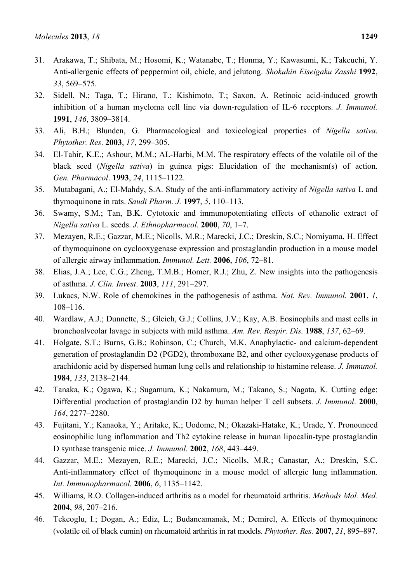- 31. Arakawa, T.; Shibata, M.; Hosomi, K.; Watanabe, T.; Honma, Y.; Kawasumi, K.; Takeuchi, Y. Anti-allergenic effects of peppermint oil, chicle, and jelutong. *Shokuhin Eiseigaku Zasshi* **1992**, *33*, 569–575.
- 32. Sidell, N.; Taga, T.; Hirano, T.; Kishimoto, T.; Saxon, A. Retinoic acid-induced growth inhibition of a human myeloma cell line via down-regulation of IL-6 receptors. *J. Immunol.* **1991**, *146*, 3809–3814.
- 33. Ali, B.H.; Blunden, G. Pharmacological and toxicological properties of *Nigella sativa*. *Phytother. Res*. **2003**, *17*, 299–305.
- 34. El-Tahir, K.E.; Ashour, M.M.; AL-Harbi, M.M. The respiratory effects of the volatile oil of the black seed (*Nigella sativa*) in guinea pigs: Elucidation of the mechanism(s) of action. *Gen. Pharmacol*. **1993**, *24*, 1115–1122.
- 35. Mutabagani, A.; El-Mahdy, S.A. Study of the anti-inflammatory activity of *Nigella sativa* L and thymoquinone in rats. *Saudi Pharm. J.* **1997**, *5*, 110–113.
- 36. Swamy, S.M.; Tan, B.K. Cytotoxic and immunopotentiating effects of ethanolic extract of *Nigella sativa* L. seeds. *J. Ethnopharmacol.* **2000**, *70*, 1–7.
- 37. Mezayen, R.E.; Gazzar, M.E.; Nicolls, M.R.; Marecki, J.C.; Dreskin, S.C.; Nomiyama, H. Effect of thymoquinone on cyclooxygenase expression and prostaglandin production in a mouse model of allergic airway inflammation. *Immunol. Lett.* **2006**, *106*, 72–81.
- 38. Elias, J.A.; Lee, C.G.; Zheng, T.M.B.; Homer, R.J.; Zhu, Z. New insights into the pathogenesis of asthma. *J. Clin. Invest*. **2003**, *111*, 291–297.
- 39. Lukacs, N.W. Role of chemokines in the pathogenesis of asthma. *Nat. Rev. Immunol.* **2001**, *1*, 108–116.
- 40. Wardlaw, A.J.; Dunnette, S.; Gleich, G.J.; Collins, J.V.; Kay, A.B. Eosinophils and mast cells in bronchoalveolar lavage in subjects with mild asthma. *Am. Rev. Respir. Dis.* **1988**, *137*, 62–69.
- 41. Holgate, S.T.; Burns, G.B.; Robinson, C.; Church, M.K. Anaphylactic- and calcium-dependent generation of prostaglandin D2 (PGD2), thromboxane B2, and other cyclooxygenase products of arachidonic acid by dispersed human lung cells and relationship to histamine release. *J. Immunol.* **1984**, *133*, 2138–2144.
- 42. Tanaka, K.; Ogawa, K.; Sugamura, K.; Nakamura, M.; Takano, S.; Nagata, K. Cutting edge: Differential production of prostaglandin D2 by human helper T cell subsets. *J. Immunol*. **2000**, *164*, 2277–2280.
- 43. Fujitani, Y.; Kanaoka, Y.; Aritake, K.; Uodome, N.; Okazaki-Hatake, K.; Urade, Y. Pronounced eosinophilic lung inflammation and Th2 cytokine release in human lipocalin-type prostaglandin D synthase transgenic mice. *J. Immunol.* **2002**, *168*, 443–449.
- 44. Gazzar, M.E.; Mezayen, R.E.; Marecki, J.C.; Nicolls, M.R.; Canastar, A.; Dreskin, S.C. Anti-inflammatory effect of thymoquinone in a mouse model of allergic lung inflammation. *Int. Immunopharmacol.* **2006**, *6*, 1135–1142.
- 45. Williams, R.O. Collagen-induced arthritis as a model for rheumatoid arthritis. *Methods Mol. Med.* **2004**, *98*, 207–216.
- 46. Tekeoglu, I.; Dogan, A.; Ediz, L.; Budancamanak, M.; Demirel, A. Effects of thymoquinone (volatile oil of black cumin) on rheumatoid arthritis in rat models. *Phytother. Res.* **2007**, *21*, 895–897.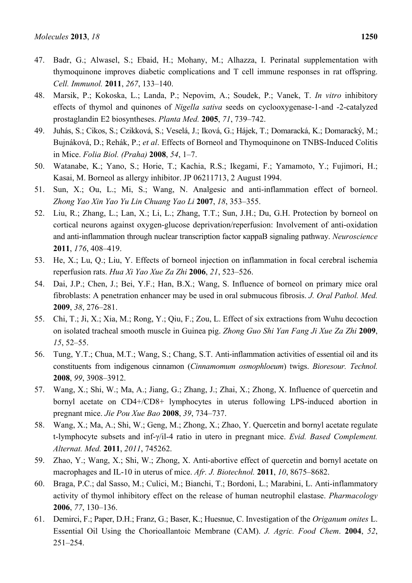- 48. Marsik, P.; Kokoska, L.; Landa, P.; Nepovim, A.; Soudek, P.; Vanek, T. *In vitro* inhibitory effects of thymol and quinones of *Nigella sativa* seeds on cyclooxygenase-1-and -2-catalyzed prostaglandin E2 biosyntheses. *Planta Med.* **2005**, *71*, 739–742.
- 49. Juhás, S.; Cikos, S.; Czikková, S.; Veselá, J.; Iková, G.; Hájek, T.; Domaracká, K.; Domaracký, M.; Bujnáková, D.; Rehák, P.; *et al*. Effects of Borneol and Thymoquinone on TNBS-Induced Colitis in Mice. *Folia Biol. (Praha)* **2008**, *54*, 1–7.
- 50. Watanabe, K.; Yano, S.; Horie, T.; Kachia, R.S.; Ikegami, F.; Yamamoto, Y.; Fujimori, H.; Kasai, M. Borneol as allergy inhibitor. JP 06211713, 2 August 1994.
- 51. Sun, X.; Ou, L.; Mi, S.; Wang, N. Analgesic and anti-inflammation effect of borneol. *Zhong Yao Xin Yao Yu Lin Chuang Yao Li* **2007**, *18*, 353–355.
- 52. Liu, R.; Zhang, L.; Lan, X.; Li, L.; Zhang, T.T.; Sun, J.H.; Du, G.H. Protection by borneol on cortical neurons against oxygen-glucose deprivation/reperfusion: Involvement of anti-oxidation and anti-inflammation through nuclear transcription factor κappaB signaling pathway. *Neuroscience* **2011**, *176*, 408–419.
- 53. He, X.; Lu, Q.; Liu, Y. Effects of borneol injection on inflammation in focal cerebral ischemia reperfusion rats. *Hua Xi Yao Xue Za Zhi* **2006**, *21*, 523–526.
- 54. Dai, J.P.; Chen, J.; Bei, Y.F.; Han, B.X.; Wang, S. Influence of borneol on primary mice oral fibroblasts: A penetration enhancer may be used in oral submucous fibrosis. *J. Oral Pathol. Med.* **2009**, *38*, 276–281.
- 55. Chi, T.; Ji, X.; Xia, M.; Rong, Y.; Qiu, F.; Zou, L. Effect of six extractions from Wuhu decoction on isolated tracheal smooth muscle in Guinea pig. *Zhong Guo Shi Yan Fang Ji Xue Za Zhi* **2009**, *15*, 52–55.
- 56. Tung, Y.T.; Chua, M.T.; Wang, S.; Chang, S.T. Anti-inflammation activities of essential oil and its constituents from indigenous cinnamon (*Cinnamomum osmophloeum*) twigs. *Bioresour. Technol.* **2008**, *99*, 3908–3912.
- 57. Wang, X.; Shi, W.; Ma, A.; Jiang, G.; Zhang, J.; Zhai, X.; Zhong, X. Influence of quercetin and bornyl acetate on CD4+/CD8+ lymphocytes in uterus following LPS-induced abortion in pregnant mice. *Jie Pou Xue Bao* **2008**, *39*, 734–737.
- 58. Wang, X.; Ma, A.; Shi, W.; Geng, M.; Zhong, X.; Zhao, Y. Quercetin and bornyl acetate regulate t-lymphocyte subsets and inf-γ/il-4 ratio in utero in pregnant mice. *Evid. Based Complement. Alternat. Med.* **2011**, *2011*, 745262.
- 59. Zhao, Y.; Wang, X.; Shi, W.; Zhong, X. Anti-abortive effect of quercetin and bornyl acetate on macrophages and IL-10 in uterus of mice. *Afr. J. Biotechnol.* **2011**, *10*, 8675–8682.
- 60. Braga, P.C.; dal Sasso, M.; Culici, M.; Bianchi, T.; Bordoni, L.; Marabini, L. Anti-inflammatory activity of thymol inhibitory effect on the release of human neutrophil elastase. *Pharmacology* **2006**, *77*, 130–136.
- 61. Demirci, F.; Paper, D.H.; Franz, G.; Baser, K.; Huesnue, C. Investigation of the *Origanum onites* L. Essential Oil Using the Chorioallantoic Membrane (CAM). *J. Agric. Food Chem*. **2004**, *52*, 251–254.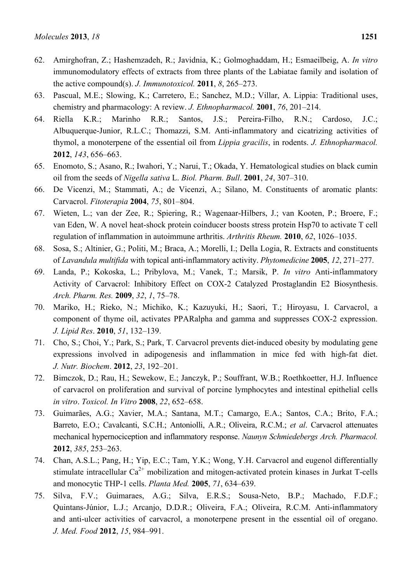- 62. Amirghofran, Z.; Hashemzadeh, R.; Javidnia, K.; Golmoghaddam, H.; Esmaeilbeig, A. *In vitro* immunomodulatory effects of extracts from three plants of the Labiatae family and isolation of the active compound(s). *J. Immunotoxicol.* **2011**, *8*, 265–273.
- 63. Pascual, M.E.; Slowing, K.; Carretero, E.; Sanchez, M.D.; Villar, A. Lippia: Traditional uses, chemistry and pharmacology: A review. *J. Ethnopharmacol.* **2001**, *76*, 201–214.
- 64. Riella K.R.; Marinho R.R.; Santos, J.S.; Pereira-Filho, R.N.; Cardoso, J.C.; Albuquerque-Junior, R.L.C.; Thomazzi, S.M. Anti-inflammatory and cicatrizing activities of thymol, a monoterpene of the essential oil from *Lippia gracilis*, in rodents. *J. Ethnopharmacol.* **2012**, *143*, 656–663.
- 65. Enomoto, S.; Asano, R.; Iwahori, Y.; Narui, T.; Okada, Y. Hematological studies on black cumin oil from the seeds of *Nigella sativa* L. *Biol. Pharm. Bull*. **2001**, *24*, 307–310.
- 66. De Vicenzi, M.; Stammati, A.; de Vicenzi, A.; Silano, M. Constituents of aromatic plants: Carvacrol. *Fitoterapia* **2004**, *75*, 801–804.
- 67. Wieten, L.; van der Zee, R.; Spiering, R.; Wagenaar-Hilbers, J.; van Kooten, P.; Broere, F.; van Eden, W. A novel heat-shock protein coinducer boosts stress protein Hsp70 to activate T cell regulation of inflammation in autoimmune arthritis. *Arthritis Rheum.* **2010**, *62*, 1026–1035.
- 68. Sosa, S.; Altinier, G.; Politi, M.; Braca, A.; Morelli, I.; Della Logia, R. Extracts and constituents of *Lavandula multifida* with topical anti-inflammatory activity. *Phytomedicine* **2005**, *12*, 271–277.
- 69. Landa, P.; Kokoska, L.; Pribylova, M.; Vanek, T.; Marsik, P. *In vitro* Anti-inflammatory Activity of Carvacrol: Inhibitory Effect on COX-2 Catalyzed Prostaglandin E2 Biosynthesis. *Arch. Pharm. Res.* **2009**, *32*, *1*, 75–78.
- 70. Mariko, H.; Rieko, N.; Michiko, K.; Kazuyuki, H.; Saori, T.; Hiroyasu, I. Carvacrol, a component of thyme oil, activates PPARalpha and gamma and suppresses COX-2 expression. *J. Lipid Res*. **2010**, *51*, 132–139.
- 71. Cho, S.; Choi, Y.; Park, S.; Park, T. Carvacrol prevents diet-induced obesity by modulating gene expressions involved in adipogenesis and inflammation in mice fed with high-fat diet. *J. Nutr. Biochem*. **2012**, *23*, 192–201.
- 72. Bimczok, D.; Rau, H.; Sewekow, E.; Janczyk, P.; Souffrant, W.B.; Roethkoetter, H.J. Influence of carvacrol on proliferation and survival of porcine lymphocytes and intestinal epithelial cells *in vitro*. *Toxicol. In Vitro* **2008**, *22*, 652–658.
- 73. Guimarães, A.G.; Xavier, M.A.; Santana, M.T.; Camargo, E.A.; Santos, C.A.; Brito, F.A.; Barreto, E.O.; Cavalcanti, S.C.H.; Antoniolli, A.R.; Oliveira, R.C.M.; *et al*. Carvacrol attenuates mechanical hypernociception and inflammatory response. *Naunyn Schmiedebergs Arch. Pharmacol.* **2012**, *385*, 253–263.
- 74. Chan, A.S.L.; Pang, H.; Yip, E.C.; Tam, Y.K.; Wong, Y.H. Carvacrol and eugenol differentially stimulate intracellular  $Ca^{2+}$  mobilization and mitogen-activated protein kinases in Jurkat T-cells and monocytic THP-1 cells. *Planta Med.* **2005**, *71*, 634–639.
- 75. Silva, F.V.; Guimaraes, A.G.; Silva, E.R.S.; Sousa-Neto, B.P.; Machado, F.D.F.; Quintans-Júnior, L.J.; Arcanjo, D.D.R.; Oliveira, F.A.; Oliveira, R.C.M. Anti-inflammatory and anti-ulcer activities of carvacrol, a monoterpene present in the essential oil of oregano. *J. Med. Food* **2012**, *15*, 984–991.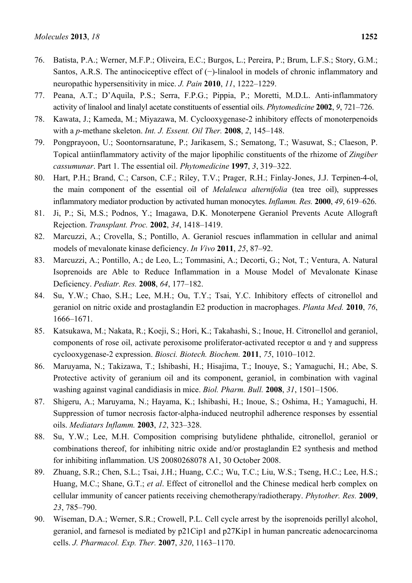- 76. Batista, P.A.; Werner, M.F.P.; Oliveira, E.C.; Burgos, L.; Pereira, P.; Brum, L.F.S.; Story, G.M.; Santos, A.R.S. The antinociceptive effect of (−)-linalool in models of chronic inflammatory and neuropathic hypersensitivity in mice. *J. Pain* **2010**, *11*, 1222–1229.
- 77. Peana, A.T.; D'Aquila, P.S.; Serra, F.P.G.; Pippia, P.; Moretti, M.D.L. Anti-inflammatory activity of linalool and linalyl acetate constituents of essential oils. *Phytomedicine* **2002**, *9*, 721–726.
- 78. Kawata, J.; Kameda, M.; Miyazawa, M. Cyclooxygenase-2 inhibitory effects of monoterpenoids with a *p*-methane skeleton. *Int. J. Essent. Oil Ther.* **2008**, *2*, 145–148.
- 79. Pongprayoon, U.; Soontornsaratune, P.; Jarikasem, S.; Sematong, T.; Wasuwat, S.; Claeson, P. Topical antiinflammatory activity of the major lipophilic constituents of the rhizome of *Zingiber cassumunar*. Part 1. The essential oil. *Phytomedicine* **1997**, *3*, 319–322.
- 80. Hart, P.H.; Brand, C.; Carson, C.F.; Riley, T.V.; Prager, R.H.; Finlay-Jones, J.J. Terpinen-4-ol, the main component of the essential oil of *Melaleuca alternifolia* (tea tree oil), suppresses inflammatory mediator production by activated human monocytes. *Inflamm. Res.* **2000**, *49*, 619–626.
- 81. Ji, P.; Si, M.S.; Podnos, Y.; Imagawa, D.K. Monoterpene Geraniol Prevents Acute Allograft Rejection. *Transplant. Proc.* **2002**, *34*, 1418–1419.
- 82. Marcuzzi, A.; Crovella, S.; Pontillo, A. Geraniol rescues inflammation in cellular and animal models of mevalonate kinase deficiency. *In Vivo* **2011**, *25*, 87–92.
- 83. Marcuzzi, A.; Pontillo, A.; de Leo, L.; Tommasini, A.; Decorti, G.; Not, T.; Ventura, A. Natural Isoprenoids are Able to Reduce Inflammation in a Mouse Model of Mevalonate Kinase Deficiency. *Pediatr. Res.* **2008**, *64*, 177–182.
- 84. Su, Y.W.; Chao, S.H.; Lee, M.H.; Ou, T.Y.; Tsai, Y.C. Inhibitory effects of citronellol and geraniol on nitric oxide and prostaglandin E2 production in macrophages. *Planta Med.* **2010**, *76*, 1666–1671.
- 85. Katsukawa, M.; Nakata, R.; Koeji, S.; Hori, K.; Takahashi, S.; Inoue, H. Citronellol and geraniol, components of rose oil, activate peroxisome proliferator-activated receptor  $\alpha$  and  $\gamma$  and suppress cyclooxygenase-2 expression. *Biosci. Biotech. Biochem.* **2011**, *75*, 1010–1012.
- 86. Maruyama, N.; Takizawa, T.; Ishibashi, H.; Hisajima, T.; Inouye, S.; Yamaguchi, H.; Abe, S. Protective activity of geranium oil and its component, geraniol, in combination with vaginal washing against vaginal candidiasis in mice. *Biol. Pharm. Bull.* **2008**, *31*, 1501–1506.
- 87. Shigeru, A.; Maruyama, N.; Hayama, K.; Ishibashi, H.; Inoue, S.; Oshima, H.; Yamaguchi, H. Suppression of tumor necrosis factor-alpha-induced neutrophil adherence responses by essential oils. *Mediatars Inflamm.* **2003**, *12*, 323–328.
- 88. Su, Y.W.; Lee, M.H. Composition comprising butylidene phthalide, citronellol, geraniol or combinations thereof, for inhibiting nitric oxide and/or prostaglandin E2 synthesis and method for inhibiting inflammation. US 20080268078 A1, 30 October 2008.
- 89. Zhuang, S.R.; Chen, S.L.; Tsai, J.H.; Huang, C.C.; Wu, T.C.; Liu, W.S.; Tseng, H.C.; Lee, H.S.; Huang, M.C.; Shane, G.T.; *et al*. Effect of citronellol and the Chinese medical herb complex on cellular immunity of cancer patients receiving chemotherapy/radiotherapy. *Phytother. Res.* **2009**, *23*, 785–790.
- 90. Wiseman, D.A.; Werner, S.R.; Crowell, P.L. Cell cycle arrest by the isoprenoids perillyl alcohol, geraniol, and farnesol is mediated by p21Cip1 and p27Kip1 in human pancreatic adenocarcinoma cells. *J. Pharmacol. Exp. Ther.* **2007**, *320*, 1163–1170.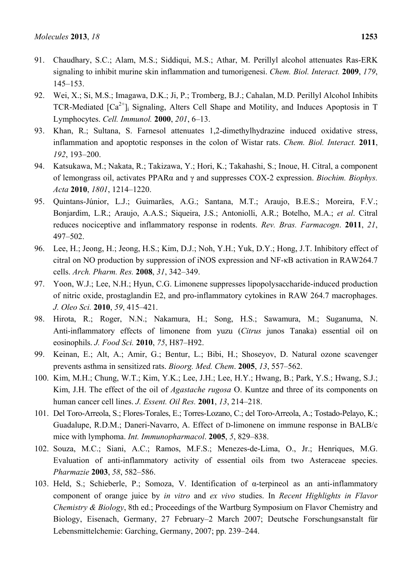- 91. Chaudhary, S.C.; Alam, M.S.; Siddiqui, M.S.; Athar, M. Perillyl alcohol attenuates Ras-ERK signaling to inhibit murine skin inflammation and tumorigenesi. *Chem. Biol. Interact.* **2009**, *179*, 145–153.
- 92. Wei, X.; Si, M.S.; Imagawa, D.K.; Ji, P.; Tromberg, B.J.; Cahalan, M.D. Perillyl Alcohol Inhibits TCR-Mediated  $[Ca^{2+}]$ ; Signaling, Alters Cell Shape and Motility, and Induces Apoptosis in T Lymphocytes. *Cell. Immunol.* **2000**, *201*, 6–13.
- 93. Khan, R.; Sultana, S. Farnesol attenuates 1,2-dimethylhydrazine induced oxidative stress, inflammation and apoptotic responses in the colon of Wistar rats. *Chem. Biol. Interact.* **2011**, *192*, 193–200.
- 94. Katsukawa, M.; Nakata, R.; Takizawa, Y.; Hori, K.; Takahashi, S.; Inoue, H. Citral, a component of lemongrass oil, activates PPARα and γ and suppresses COX-2 expression. *Biochim. Biophys. Acta* **2010**, *1801*, 1214–1220.
- 95. Quintans-Júnior, L.J.; Guimarães, A.G.; Santana, M.T.; Araujo, B.E.S.; Moreira, F.V.; Bonjardim, L.R.; Araujo, A.A.S.; Siqueira, J.S.; Antoniolli, A.R.; Botelho, M.A.; *et al*. Citral reduces nociceptive and inflammatory response in rodents. *Rev. Bras. Farmacogn*. **2011**, *21*, 497–502.
- 96. Lee, H.; Jeong, H.; Jeong, H.S.; Kim, D.J.; Noh, Y.H.; Yuk, D.Y.; Hong, J.T. Inhibitory effect of citral on NO production by suppression of iNOS expression and NF-κB activation in RAW264.7 cells. *Arch. Pharm. Res.* **2008**, *31*, 342–349.
- 97. Yoon, W.J.; Lee, N.H.; Hyun, C.G. Limonene suppresses lipopolysaccharide-induced production of nitric oxide, prostaglandin E2, and pro-inflammatory cytokines in RAW 264.7 macrophages. *J. Oleo Sci.* **2010**, *59*, 415–421.
- 98. Hirota, R.; Roger, N.N.; Nakamura, H.; Song, H.S.; Sawamura, M.; Suganuma, N. Anti-inflammatory effects of limonene from yuzu (*Citrus* junos Tanaka) essential oil on eosinophils. *J. Food Sci.* **2010**, *75*, H87–H92.
- 99. Keinan, E.; Alt, A.; Amir, G.; Bentur, L.; Bibi, H.; Shoseyov, D. Natural ozone scavenger prevents asthma in sensitized rats. *Bioorg. Med. Chem*. **2005**, *13*, 557–562.
- 100. Kim, M.H.; Chung, W.T.; Kim, Y.K.; Lee, J.H.; Lee, H.Y.; Hwang, B.; Park, Y.S.; Hwang, S.J.; Kim, J.H. The effect of the oil of *Agastache rugosa* O. Kuntze and three of its components on human cancer cell lines. *J. Essent. Oil Res.* **2001**, *13*, 214–218.
- 101. Del Toro-Arreola, S.; Flores-Torales, E.; Torres-Lozano, C.; del Toro-Arreola, A.; Tostado-Pelayo, K.; Guadalupe, R.D.M.; Daneri-Navarro, A. Effect of D-limonene on immune response in BALB/c mice with lymphoma. *Int. Immunopharmacol*. **2005**, *5*, 829–838.
- 102. Souza, M.C.; Siani, A.C.; Ramos, M.F.S.; Menezes-de-Lima, O., Jr.; Henriques, M.G. Evaluation of anti-inflammatory activity of essential oils from two Asteraceae species. *Pharmazie* **2003**, *58*, 582–586.
- 103. Held, S.; Schieberle, P.; Somoza, V. Identification of α-terpineol as an anti-inflammatory component of orange juice by *in vitro* and *ex vivo* studies. In *Recent Highlights in Flavor Chemistry & Biology*, 8th ed.; Proceedings of the Wartburg Symposium on Flavor Chemistry and Biology, Eisenach, Germany, 27 February–2 March 2007; Deutsche Forschungsanstalt für Lebensmittelchemie: Garching, Germany, 2007; pp. 239–244.